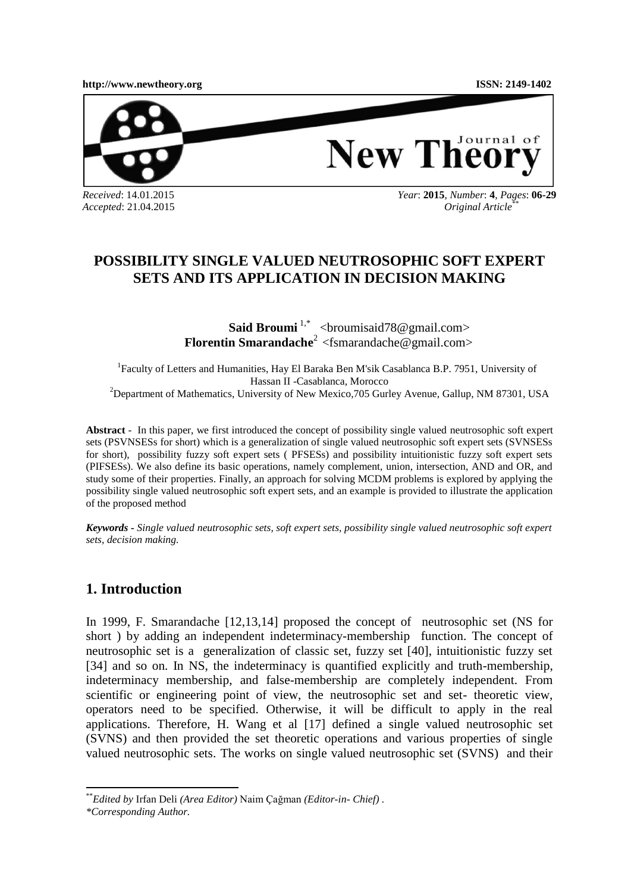**[http://www.newtheory.org](http://www.newtheory.org/) ISSN: 2149-1402**



New Theory

*Received*: 14.01.2015 *Accepted*: 21.04.2015 *Year*: **2015**, *Number*: **4**, *Pages*: **06-29**  *Original Article*\*\*

# **POSSIBILITY SINGLE VALUED NEUTROSOPHIC SOFT EXPERT SETS AND ITS APPLICATION IN DECISION MAKING**

**Said Broumi**<sup>1,\*</sup> [<broumisaid78@gmail.com>](mailto:1broumisaid78@gmail.com) **Florentin Smarandache**<sup>2</sup> [<fsmarandache@gmail.com>](mailto:fsmarandache@gmail.com)

<sup>1</sup>Faculty of Letters and Humanities, Hay El Baraka Ben M'sik Casablanca B.P. 7951, University of Hassan II -Casablanca, Morocco <sup>2</sup>Department of Mathematics, University of New Mexico, 705 Gurley Avenue, Gallup, NM 87301, USA

**Abstract** - In this paper, we first introduced the concept of possibility single valued neutrosophic soft expert sets (PSVNSESs for short) which is a generalization of single valued neutrosophic soft expert sets (SVNSESs for short), possibility fuzzy soft expert sets ( PFSESs) and possibility intuitionistic fuzzy soft expert sets (PIFSESs). We also define its basic operations, namely complement, union, intersection, AND and OR, and study some of their properties. Finally, an approach for solving MCDM problems is explored by applying the possibility single valued neutrosophic soft expert sets, and an example is provided to illustrate the application of the proposed method

*Keywords - Single valued neutrosophic sets, soft expert sets, possibility single valued neutrosophic soft expert sets, decision making.*

## **1. Introduction**

In 1999, F. Smarandache [12,13,14] proposed the concept of neutrosophic set (NS for short ) by adding an independent indeterminacy-membership function. The concept of neutrosophic set is a generalization of classic set, fuzzy set [40], intuitionistic fuzzy set [34] and so on. In NS, the indeterminacy is quantified explicitly and truth-membership, indeterminacy membership, and false-membership are completely independent. From scientific or engineering point of view, the neutrosophic set and set- theoretic view, operators need to be specified. Otherwise, it will be difficult to apply in the real applications. Therefore, H. Wang et al [17] defined a single valued neutrosophic set (SVNS) and then provided the set theoretic operations and various properties of single valued neutrosophic sets. The works on single valued neutrosophic set (SVNS) and their

 $\overline{\phantom{a}}$ 

<sup>\*\*</sup>*Edited by* Irfan Deli *(Area Editor)* Naim Çağman *(Editor-in- Chief) .* 

*<sup>\*</sup>Corresponding Author.*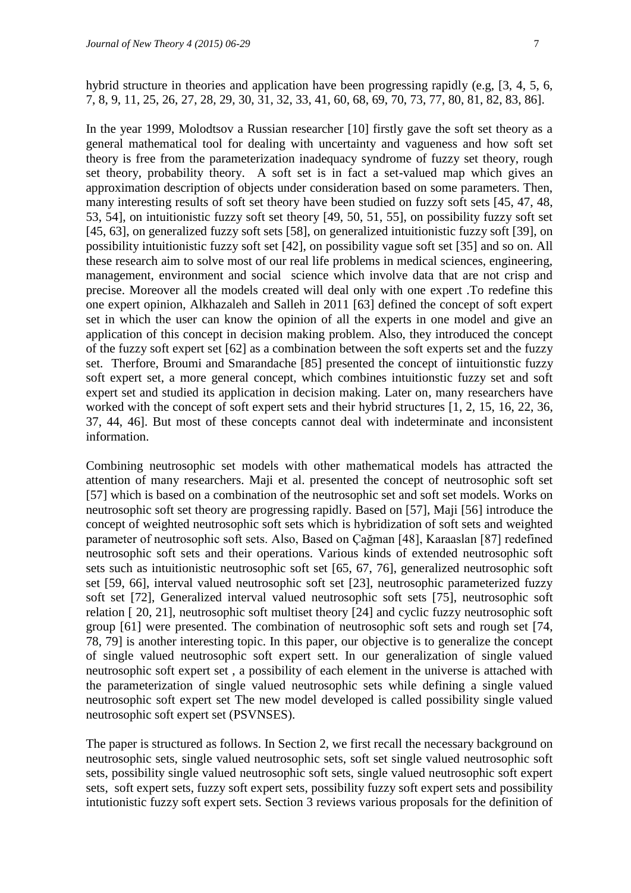hybrid structure in theories and application have been progressing rapidly (e.g, [3, 4, 5, 6, 7, 8, 9, 11, 25, 26, 27, 28, 29, 30, 31, 32, 33, 41, 60, 68, 69, 70, 73, 77, 80, 81, 82, 83, 86].

In the year 1999, Molodtsov a Russian researcher [10] firstly gave the soft set theory as a general mathematical tool for dealing with uncertainty and vagueness and how soft set theory is free from the parameterization inadequacy syndrome of fuzzy set theory, rough set theory, probability theory. A soft set is in fact a set-valued map which gives an approximation description of objects under consideration based on some parameters. Then, many interesting results of soft set theory have been studied on fuzzy soft sets [45, 47, 48, 53, 54], on intuitionistic fuzzy soft set theory [49, 50, 51, 55], on possibility fuzzy soft set [45, 63], on generalized fuzzy soft sets [58], on generalized intuitionistic fuzzy soft [39], on possibility intuitionistic fuzzy soft set [42], on possibility vague soft set [35] and so on. All these research aim to solve most of our real life problems in medical sciences, engineering, management, environment and social science which involve data that are not crisp and precise. Moreover all the models created will deal only with one expert .To redefine this one expert opinion, Alkhazaleh and Salleh in 2011 [63] defined the concept of soft expert set in which the user can know the opinion of all the experts in one model and give an application of this concept in decision making problem. Also, they introduced the concept of the fuzzy soft expert set [62] as a combination between the soft experts set and the fuzzy set. Therfore, Broumi and Smarandache [85] presented the concept of iintuitionstic fuzzy soft expert set, a more general concept, which combines intuitionstic fuzzy set and soft expert set and studied its application in decision making. Later on, many researchers have worked with the concept of soft expert sets and their hybrid structures [1, 2, 15, 16, 22, 36, 37, 44, 46]. But most of these concepts cannot deal with indeterminate and inconsistent information.

Combining neutrosophic set models with other mathematical models has attracted the attention of many researchers. Maji et al. presented the concept of neutrosophic soft set [57] which is based on a combination of the neutrosophic set and soft set models. Works on neutrosophic soft set theory are progressing rapidly. Based on [57], Maji [56] introduce the concept of weighted neutrosophic soft sets which is hybridization of soft sets and weighted parameter of neutrosophic soft sets. Also, Based on Çağman [48], Karaaslan [87] redefined neutrosophic soft sets and their operations. Various kinds of extended neutrosophic soft sets such as intuitionistic neutrosophic soft set [65, 67, 76], generalized neutrosophic soft set [59, 66], interval valued neutrosophic soft set [23], neutrosophic parameterized fuzzy soft set [72], Generalized interval valued neutrosophic soft sets [75], neutrosophic soft relation [ 20, 21], neutrosophic soft multiset theory [24] and cyclic fuzzy neutrosophic soft group [61] were presented. The combination of neutrosophic soft sets and rough set [74, 78, 79] is another interesting topic. In this paper, our objective is to generalize the concept of single valued neutrosophic soft expert sett. In our generalization of single valued neutrosophic soft expert set , a possibility of each element in the universe is attached with the parameterization of single valued neutrosophic sets while defining a single valued neutrosophic soft expert set The new model developed is called possibility single valued neutrosophic soft expert set (PSVNSES).

The paper is structured as follows. In Section 2, we first recall the necessary background on neutrosophic sets, single valued neutrosophic sets, soft set single valued neutrosophic soft sets, possibility single valued neutrosophic soft sets, single valued neutrosophic soft expert sets, soft expert sets, fuzzy soft expert sets, possibility fuzzy soft expert sets and possibility intutionistic fuzzy soft expert sets. Section 3 reviews various proposals for the definition of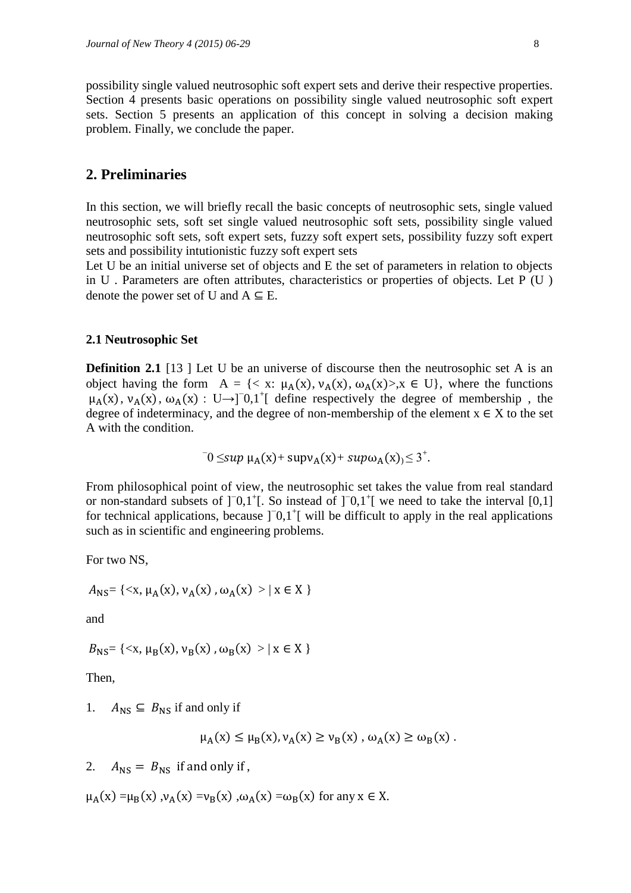possibility single valued neutrosophic soft expert sets and derive their respective properties. Section 4 presents basic operations on possibility single valued neutrosophic soft expert sets. Section 5 presents an application of this concept in solving a decision making problem. Finally, we conclude the paper.

### **2. Preliminaries**

In this section, we will briefly recall the basic concepts of neutrosophic sets, single valued neutrosophic sets, soft set single valued neutrosophic soft sets, possibility single valued neutrosophic soft sets, soft expert sets, fuzzy soft expert sets, possibility fuzzy soft expert sets and possibility intutionistic fuzzy soft expert sets

Let U be an initial universe set of objects and E the set of parameters in relation to objects in U. Parameters are often attributes, characteristics or properties of objects. Let  $P(U)$ denote the power set of U and  $A \subseteq E$ .

### **2.1 Neutrosophic Set**

**Definition 2.1** [13] Let U be an universe of discourse then the neutrosophic set A is an object having the form A = {< x:  $\mu_A(x)$ ,  $\nu_A(x)$ ,  $\omega_A(x)$ >,x ∈ U}, where the functions  $\mu_A(x)$ ,  $\nu_A(x)$ ,  $\omega_A(x)$ : U→]<sup>-</sup>0,1<sup>+</sup>[ define respectively the degree of membership, the degree of indeterminacy, and the degree of non-membership of the element  $x \in X$  to the set A with the condition.

$$
0 \leq sup \mu_A(x) + sup \nu_A(x) + sup \omega_A(x) \leq 3^+.
$$

From philosophical point of view, the neutrosophic set takes the value from real standard or non-standard subsets of  $]$ <sup>-</sup>0,1<sup>+</sup>[. So instead of  $]$ <sup>-0</sup>,1<sup>+</sup>[ we need to take the interval [0,1] for technical applications, because  $]$ <sup>-</sup> $0,1$ <sup>+</sup> $[$  will be difficult to apply in the real applications such as in scientific and engineering problems.

For two NS,

$$
A_{\rm NS}
$$
 = {\mu\_{\rm A}(x), \nu\_{\rm A}(x), \omega\_{\rm A}(x) > | x \in X }

and

$$
B_{NS}
$$
 = {\mu\_B(x), \nu\_B(x), \omega\_B(x) > | x \in X}

Then,

1.  $A_{\text{NS}} \subseteq B_{\text{NS}}$  if and only if

$$
\mu_A(x) \le \mu_B(x), \nu_A(x) \ge \nu_B(x), \omega_A(x) \ge \omega_B(x).
$$

2.  $A_{\text{NS}} = B_{\text{NS}}$  if and only if,

 $\mu_A(x) = \mu_B(x)$ ,  $\nu_A(x) = \nu_B(x)$ ,  $\omega_A(x) = \omega_B(x)$  for any  $x \in X$ .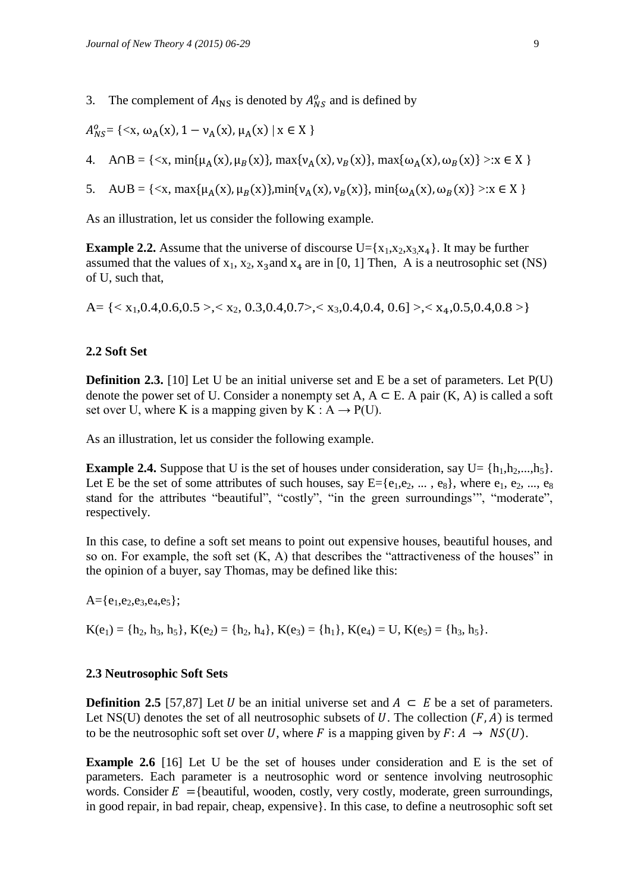3. The complement of  $A_{\text{NS}}$  is denoted by  $A_{NS}^o$  and is defined by

$$
A_{NS}^0 = \{ \langle x, \omega_A(x), 1 - \nu_A(x), \mu_A(x) \mid x \in X \}
$$

- 4.  $A \cap B = \{ \langle x, \min\{\mu_A(x), \mu_B(x)\}, \max\{\nu_A(x), \nu_B(x)\}, \max\{\omega_A(x), \omega_B(x)\} \rangle : x \in X \}$
- 5. A  $UB = \{ \langle x, \max\{\mu_A(x), \mu_B(x)\}, \min\{\nu_A(x), \nu_B(x)\}, \min\{\omega_A(x), \omega_B(x)\} \rangle : x \in X \}$

As an illustration, let us consider the following example.

**Example 2.2.** Assume that the universe of discourse  $U = \{x_1, x_2, x_3, x_4\}$ . It may be further assumed that the values of  $x_1, x_2, x_3$  and  $x_4$  are in [0, 1] Then, A is a neutrosophic set (NS) of U, such that,

A= { $\langle x_1, 0.4, 0.6, 0.5 \rangle$ , $\langle x_2, 0.3, 0.4, 0.7 \rangle$ , $\langle x_3, 0.4, 0.4, 0.6] \rangle$ , $\langle x_4, 0.5, 0.4, 0.8 \rangle$ }

### **2.2 Soft Set**

**Definition 2.3.** [10] Let U be an initial universe set and E be a set of parameters. Let P(U) denote the power set of U. Consider a nonempty set A,  $A \subseteq E$ . A pair  $(K, A)$  is called a soft set over U, where K is a mapping given by K :  $A \rightarrow P(U)$ .

As an illustration, let us consider the following example.

**Example 2.4.** Suppose that U is the set of houses under consideration, say  $U = \{h_1, h_2, ..., h_5\}$ . Let E be the set of some attributes of such houses, say  $E = \{e_1, e_2, ..., e_8\}$ , where  $e_1, e_2, ..., e_8$ stand for the attributes "beautiful", "costly", "in the green surroundings'", "moderate", respectively.

In this case, to define a soft set means to point out expensive houses, beautiful houses, and so on. For example, the soft set  $(K, A)$  that describes the "attractiveness of the houses" in the opinion of a buyer, say Thomas, may be defined like this:

 $A = \{e_1, e_2, e_3, e_4, e_5\};$ 

 $K(e_1) = \{h_2, h_3, h_5\}, K(e_2) = \{h_2, h_4\}, K(e_3) = \{h_1\}, K(e_4) = U, K(e_5) = \{h_3, h_5\}.$ 

### **2.3 Neutrosophic Soft Sets**

**Definition 2.5** [57,87] Let *U* be an initial universe set and  $A ⊂ E$  be a set of parameters. Let NS(U) denotes the set of all neutrosophic subsets of U. The collection  $(F, A)$  is termed to be the neutrosophic soft set over U, where F is a mapping given by  $F: A \rightarrow NS(U)$ .

**Example 2.6** [16] Let U be the set of houses under consideration and E is the set of parameters. Each parameter is a neutrosophic word or sentence involving neutrosophic words. Consider  $E = \{$  beautiful, wooden, costly, very costly, moderate, green surroundings, in good repair, in bad repair, cheap, expensive}. In this case, to define a neutrosophic soft set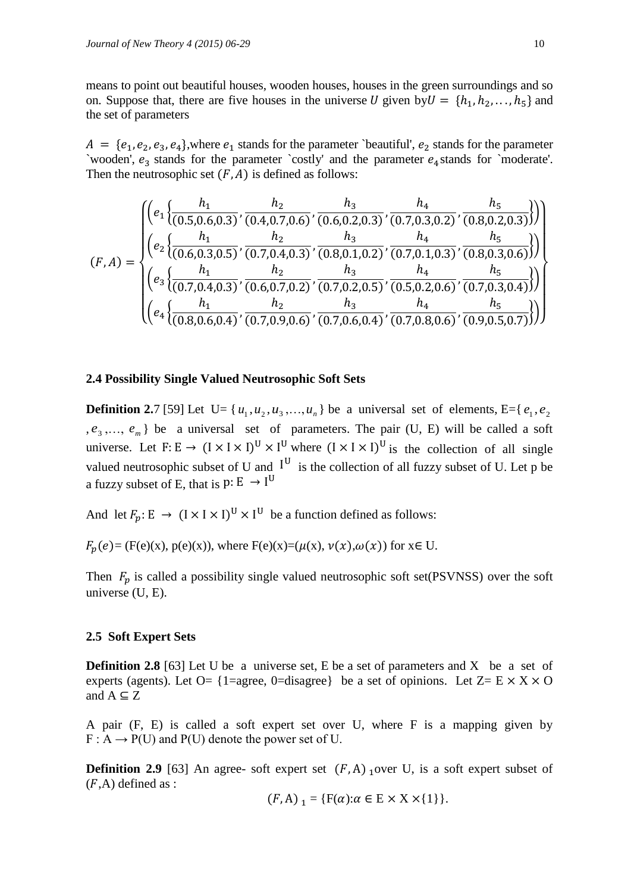means to point out beautiful houses, wooden houses, houses in the green surroundings and so on. Suppose that, there are five houses in the universe U given by  $U = \{h_1, h_2, \ldots, h_5\}$  and the set of parameters

 $A = \{e_1, e_2, e_3, e_4\}$ , where  $e_1$  stands for the parameter `beautiful',  $e_2$  stands for the parameter `wooden',  $e_3$  stands for the parameter `costly' and the parameter  $e_4$  stands for `moderate'. Then the neutrosophic set  $(F, A)$  is defined as follows:

$$
(F, A) = \begin{cases} \left( e_1 \left\{ \frac{h_1}{(0.5, 0.6, 0.3)}, \frac{h_2}{(0.4, 0.7, 0.6)}, \frac{h_3}{(0.6, 0.2, 0.3)}, \frac{h_4}{(0.7, 0.3, 0.2)}, \frac{h_5}{(0.8, 0.2, 0.3)} \right) \right) \\ \left( e_2 \left\{ \frac{h_1}{(0.6, 0.3, 0.5)}, \frac{h_2}{(0.7, 0.4, 0.3)}, \frac{h_3}{(0.8, 0.1, 0.2)}, \frac{h_4}{(0.7, 0.1, 0.3)}, \frac{h_5}{(0.8, 0.3, 0.6)} \right) \right) \\ \left( e_3 \left\{ \frac{h_1}{(0.7, 0.4, 0.3)}, \frac{h_2}{(0.6, 0.7, 0.2)}, \frac{h_3}{(0.7, 0.2, 0.5)}, \frac{h_4}{(0.5, 0.2, 0.6)}, \frac{h_5}{(0.7, 0.3, 0.4)} \right) \right) \\ \left( e_4 \left\{ \frac{h_1}{(0.8, 0.6, 0.4)}, \frac{h_2}{(0.7, 0.9, 0.6)}, \frac{h_3}{(0.7, 0.6, 0.4)}, \frac{h_4}{(0.7, 0.8, 0.6)}, \frac{h_5}{(0.9, 0.5, 0.7)} \right) \right) \end{cases} \right)
$$

### **2.4 Possibility Single Valued Neutrosophic Soft Sets**

**Definition 2.**7 [59] Let  $U = \{u_1, u_2, u_3, ..., u_n\}$  be a universal set of elements, E={ $e_1, e_2$ }  $e_3, \ldots, e_m$  be a universal set of parameters. The pair (U, E) will be called a soft universe. Let  $F: E \to (I \times I \times I)^U \times I^U$  where  $(I \times I \times I)^U$  is the collection of all single valued neutrosophic subset of U and  $I^U$  is the collection of all fuzzy subset of U. Let p be a fuzzy subset of E, that is  $p: E \rightarrow I^U$ 

And let  $F_p: E \to (I \times I \times I)^U \times I^U$  be a function defined as follows:

 $F_n(e) = (F(e)(x), p(e)(x))$ , where  $F(e)(x) = (\mu(x), \nu(x), \omega(x))$  for  $x \in U$ .

Then  $F_p$  is called a possibility single valued neutrosophic soft set(PSVNSS) over the soft universe (U, E).

#### **2.5 Soft Expert Sets**

**Definition 2.8** [63] Let U be a universe set, E be a set of parameters and X be a set of experts (agents). Let O= {1=agree, 0=disagree} be a set of opinions. Let  $Z = E \times X \times O$ and  $A \subseteq Z$ 

A pair (F, E) is called a soft expert set over U, where F is a mapping given by  $F: A \rightarrow P(U)$  and  $P(U)$  denote the power set of U.

**Definition 2.9** [63] An agree- soft expert set  $(F, A)$  over U, is a soft expert subset of  $(F,A)$  defined as :

$$
(F, A)_{1} = \{F(\alpha): \alpha \in E \times X \times \{1\}\}.
$$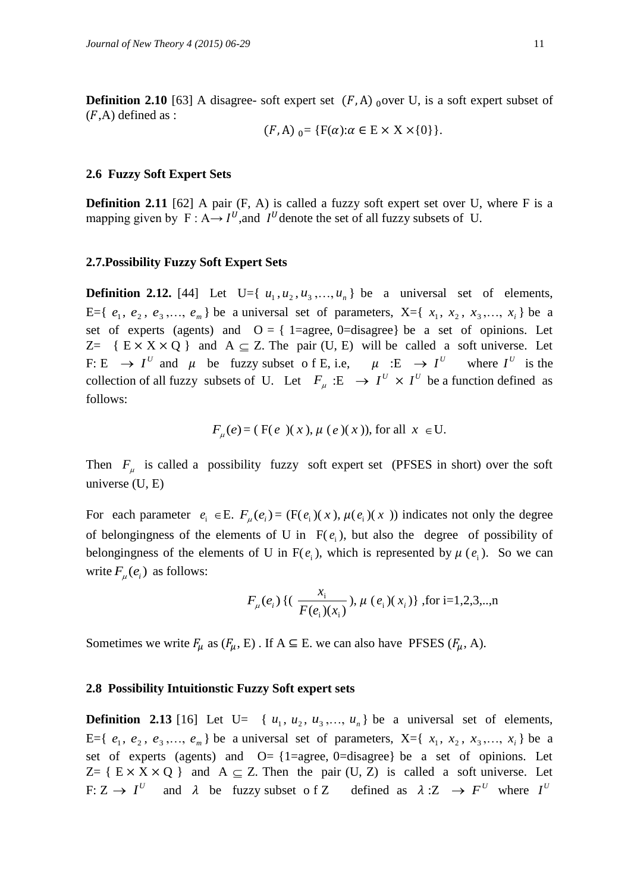**Definition 2.10** [63] A disagree- soft expert set  $(F, A)$  over U, is a soft expert subset of  $(F,A)$  defined as :

$$
(F, A)_{0} = \{F(\alpha): \alpha \in E \times X \times \{0\}\}.
$$

### **2.6 Fuzzy Soft Expert Sets**

**Definition 2.11** [62] A pair (F, A) is called a fuzzy soft expert set over U, where F is a mapping given by  $F: A \rightarrow I^U$ , and  $I^U$  denote the set of all fuzzy subsets of U.

### **2.7.Possibility Fuzzy Soft Expert Sets**

**Definition 2.12.** [44] Let U={ $u_1, u_2, u_3, \ldots, u_n$ } be a universal set of elements, E={ $e_1, e_2, e_3, ..., e_m$ } be a universal set of parameters, X={ $x_1, x_2, x_3, ..., x_i$ } be a set of experts (agents) and  $O = \{1 = \text{agree}, 0 = \text{disagree}\}\)$  be a set of opinions. Let  $Z = \{ E \times X \times Q \}$  and  $A \subseteq Z$ . The pair (U, E) will be called a soft universe. Let F: E  $\rightarrow$  I<sup>U</sup> and  $\mu$  be fuzzy subset of E, i.e,  $\mu$  : E  $\rightarrow$  I<sup>U</sup> where I<sup>U</sup> is the collection of all fuzzy subsets of U. Let  $F_\mu : E \to I^U \times I^U$  be a function defined as follows:

$$
F_{\mu}(e) = (F(e)(x), \mu(e)(x)),
$$
 for all  $x \in U$ .

Then  $F_{\mu}$  is called a possibility fuzzy soft expert set (PFSES in short) over the soft universe (U, E)

For each parameter  $e_i \in E$ .  $F_\mu(e_i) = (F(e_i)(x), \mu(e_i)(x))$  indicates not only the degree of belongingness of the elements of U in  $F(e_i)$ , but also the degree of possibility of belongingness of the elements of U in  $F(e_i)$ , which is represented by  $\mu(e_i)$ . So we can write  $F_{\mu}(e_i)$  as follows:

$$
F_{\mu}(e_i)
$$
 {  $(\frac{x_i}{F(e_i)(x_i)})$ ,  $\mu(e_i)(x_i)$  }, for i=1,2,3,..,n

Sometimes we write  $F_u$  as  $(F_u, E)$ . If  $A \subseteq E$ . we can also have PFSES  $(F_u, A)$ .

#### **2.8 Possibility Intuitionstic Fuzzy Soft expert sets**

**Definition 2.13** [16] Let U= { $u_1, u_2, u_3, \ldots, u_n$ } be a universal set of elements, E={ $e_1, e_2, e_3, ..., e_m$ } be a universal set of parameters, X={ $x_1, x_2, x_3, ..., x_i$ } be a set of experts (agents) and  $O = \{1 = \text{agree}, 0 = \text{distance}\}$  be a set of opinions. Let  $Z = \{ E \times X \times Q \}$  and  $A \subseteq Z$ . Then the pair (U, Z) is called a soft universe. Let F:  $Z \rightarrow I^U$  and  $\lambda$  be fuzzy subset of Z defined as  $\lambda : Z \rightarrow F^U$  where  $I^U$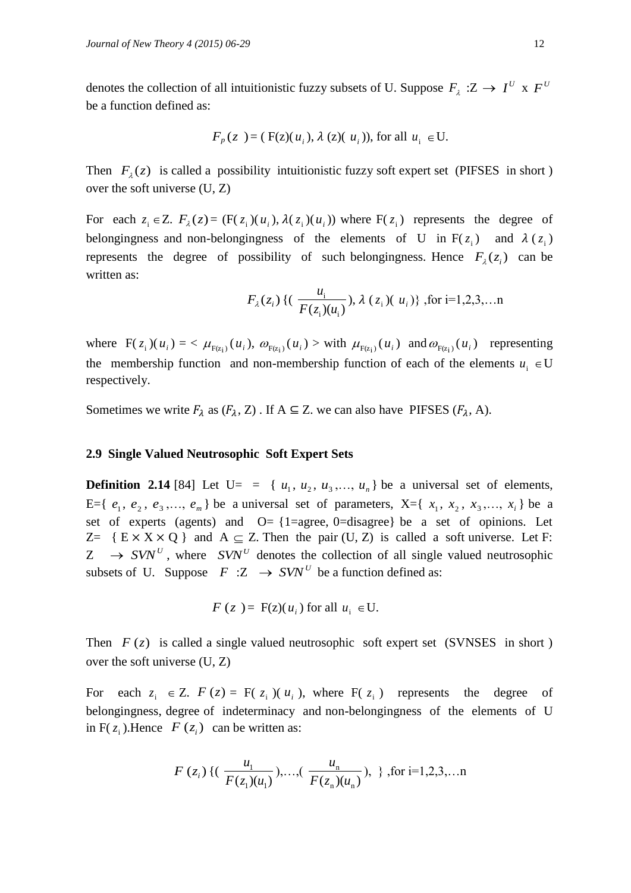denotes the collection of all intuitionistic fuzzy subsets of U. Suppose  $F_\lambda : Z \to I^U \times F^U$ be a function defined as:

$$
F_p(z) = (F(z)(u_i), \lambda(z)(u_i)),
$$
 for all  $u_i \in U$ .

Then  $F_{\lambda}(z)$  is called a possibility intuitionistic fuzzy soft expert set (PIFSES in short) over the soft universe (U, Z)

For each  $z_i \in Z$ .  $F_\lambda(z) = (F(z_i)(u_i), \lambda(z_i)(u_i))$  where  $F(z_i)$  represents the degree of belongingness and non-belongingness of the elements of U in  $F(z_i)$  and  $\lambda(z_i)$ represents the degree of possibility of such belongingness. Hence  $F_{\lambda}(z_i)$  can be written as:

$$
F_{\lambda}(z_i)
$$
 {  $(\frac{u_i}{F(z_i)(u_i)})$ ,  $\lambda$   $(z_i)(u_i)$  }, for i=1,2,3,...n

where  $F(z_i)(u_i) = \langle \mu_{F(z_i)}(u_i), \omega_{F(z_i)}(u_i) \rangle$  with  $\mu_{F(z_i)}(u_i)$  and  $\omega_{F(z_i)}(u_i)$  representing the membership function and non-membership function of each of the elements  $u_i \in U$ respectively.

Sometimes we write  $F_{\lambda}$  as  $(F_{\lambda}, Z)$ . If  $A \subseteq Z$ . we can also have PIFSES  $(F_{\lambda}, A)$ .

### **2.9 Single Valued Neutrosophic Soft Expert Sets**

**Definition 2.14** [84] Let  $U = \{u_1, u_2, u_3, \ldots, u_n\}$  be a universal set of elements, E={ $e_1, e_2, e_3, ..., e_m$ } be a universal set of parameters, X={ $x_1, x_2, x_3, ..., x_i$ } be a set of experts (agents) and  $O = \{1 = \text{agree}, 0 = \text{distance}\}$  be a set of opinions. Let  $Z = \{ E \times X \times Q \}$  and  $A \subseteq Z$ . Then the pair (U, Z) is called a soft universe. Let F:  $Z \rightarrow S V N^U$ , where  $S V N^U$  denotes the collection of all single valued neutrosophic subsets of U. Suppose  $F : Z \to \text{SVN}^U$  be a function defined as:

$$
F(z) = F(z)(u_i)
$$
 for all  $u_i \in U$ .

Then  $F(z)$  is called a single valued neutrosophic soft expert set (SVNSES in short) over the soft universe (U, Z)

For each  $z_i \in Z$ .  $F(z) = F(z_i)(u_i)$ , where  $F(z_i)$  represents the degree of belongingness, degree of indeterminacy and non-belongingness of the elements of U in  $F(z_i)$ . Hence  $F(z_i)$  can be written as:

$$
F(z_i)
$$
 {  $(\frac{u_1}{F(z_1)(u_1)}),...,(\frac{u_n}{F(z_n)(u_n)}), \}$ , for i=1,2,3,...n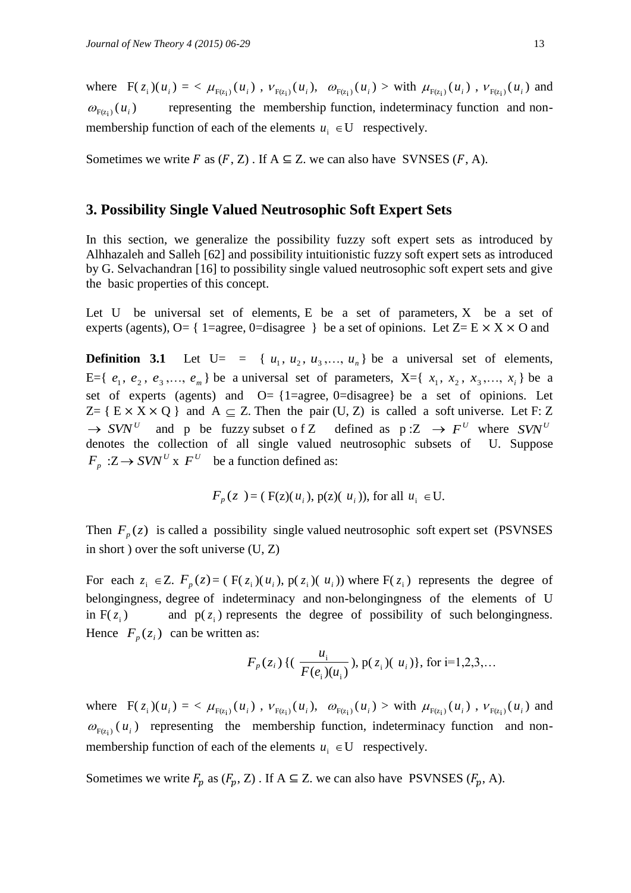where  $F(z_i)(u_i) = \langle \mu_{F(z_i)}(u_i), \nu_{F(z_i)}(u_i), \omega_{F(z_i)}(u_i) \rangle$  with  $\mu_{F(z_i)}(u_i), \nu_{F(z_i)}(u_i)$  and  $\omega_{F(z_i)}(u_i)$ ) representing the membership function, indeterminacy function and nonmembership function of each of the elements  $u_i \in U$  respectively.

Sometimes we write F as  $(F, Z)$ . If  $A \subseteq Z$ . we can also have SVNSES  $(F, A)$ .

### **3. Possibility Single Valued Neutrosophic Soft Expert Sets**

In this section, we generalize the possibility fuzzy soft expert sets as introduced by Alhhazaleh and Salleh [62] and possibility intuitionistic fuzzy soft expert sets as introduced by G. Selvachandran [16] to possibility single valued neutrosophic soft expert sets and give the basic properties of this concept.

Let U be universal set of elements,  $E$  be a set of parameters,  $X$  be a set of experts (agents), O= { 1=agree, 0=disagree } be a set of opinions. Let  $Z = E \times X \times O$  and

**Definition 3.1** Let  $U = \{u_1, u_2, u_3, \ldots, u_n\}$  be a universal set of elements, E={ $e_1, e_2, e_3, ..., e_m$ } be a universal set of parameters, X={ $x_1, x_2, x_3, ..., x_i$ } be a set of experts (agents) and  $O = \{1 = \text{agree}, 0 = \text{distance}\}$  be a set of opinions. Let Z = {  $E \times X \times Q$  } and  $A \subseteq Z$ . Then the pair (U, Z) is called a soft universe. Let F: Z  $\rightarrow$  *SVN*<sup>U</sup> and p be fuzzy subset o f Z defined as p:Z  $\rightarrow$  *F*<sup>*U*</sup> where *SVN*<sup>*U*</sup> denotes the collection of all single valued neutrosophic subsets of U. Suppose  $F_p$  : Z  $\rightarrow$  *SVN*<sup>*U*</sup> x  $F^U$  be a function defined as:

$$
F_p(z) = (F(z)(u_i), p(z)(u_i)),
$$
 for all  $u_i \in U$ .

Then  $F_p(z)$  is called a possibility single valued neutrosophic soft expert set (PSVNSES) in short ) over the soft universe (U, Z)

For each  $z_i \in Z$ .  $F_p(z) = (F(z_i)(u_i), p(z_i)(u_i))$  where  $F(z_i)$  represents the degree of belongingness, degree of indeterminacy and non-belongingness of the elements of U in  $F(z_i)$ ) and  $p(z_i)$  represents the degree of possibility of such belongingness. Hence  $F_p(z_i)$  can be written as:

$$
F_p(z_i)
$$
 {  $(\frac{u_i}{F(e_i)(u_i)})$ ,  $p(z_i)(u_i)$ }, for i=1,2,3,...

where  $F(z_i)(u_i) = \langle \mu_{F(z_i)}(u_i), \nu_{F(z_i)}(u_i), \omega_{F(z_i)}(u_i) \rangle$  with  $\mu_{F(z_i)}(u_i), \nu_{F(z_i)}(u_i)$  and  $\omega_{F(z_i)}(u_i)$  representing the membership function, indeterminacy function and nonmembership function of each of the elements  $u_i \in U$  respectively.

Sometimes we write  $F_p$  as  $(F_p, Z)$ . If  $A \subseteq Z$ . we can also have PSVNSES  $(F_p, A)$ .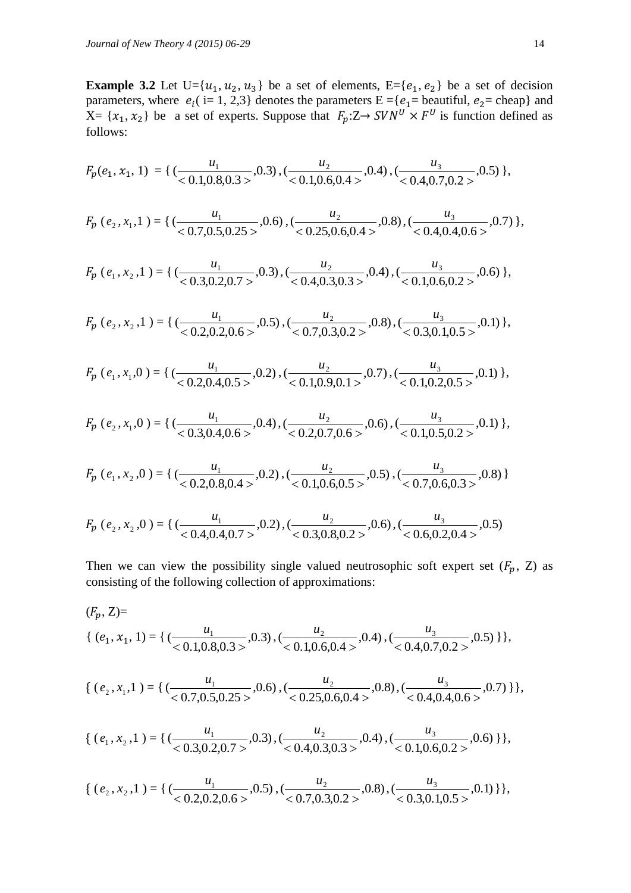**Example 3.2** Let  $U = \{u_1, u_2, u_3\}$  be a set of elements,  $E = \{e_1, e_2\}$  be a set of decision parameters, where  $e_i$  (i= 1, 2,3) denotes the parameters  $E = \{e_1 =$  beautiful,  $e_2 =$  cheap} and  $X = \{x_1, x_2\}$  be a set of experts. Suppose that  $F_p: Z \rightarrow SVN^U \times F^U$  is function defined as follows:

$$
F_p(e_1, x_1, 1) = \{ (\frac{u_1}{0.1, 0.8, 0.3)}, 0.3), (\frac{u_2}{0.1, 0.6, 0.4}, 0.4), (\frac{u_3}{0.4, 0.7, 0.2}, 0.5) \},
$$

$$
F_p(e_2, x_1, 1) = \{ (\frac{u_1}{0.7, 0.5, 0.25 >}, 0.6), (\frac{u_2}{0.25, 0.6, 0.4 >}, 0.8), (\frac{u_3}{0.4, 0.4, 0.6 >}, 0.7) \},
$$

 ( 1 *e* , 2 *x* ,1 ) = { ,0.3) 0.3,0.2,0.7 ( 1 *u* , ,0.4) 0.4,0.3,0.3 ( 2 *u* , ,0.6) 0.1,0.6,0.2 ( 3 *u* },

$$
F_p(e_2, x_2, 1) = \{ \left( \frac{u_1}{0.2, 0.2, 0.65}, 0.5 \right), \left( \frac{u_2}{0.7, 0.3, 0.25}, 0.8 \right), \left( \frac{u_3}{0.3, 0.1, 0.55}, 0.1 \right) \},
$$

$$
F_p(e_1, x_1, 0) = \{ \left( \frac{u_1}{0.2, 0.4, 0.5} \right), \left( \frac{u_2}{0.1, 0.9, 0.1} \right), \left( \frac{u_3}{0.1, 0.2, 0.5} \right), 0.1) \},
$$

$$
F_p(e_2, x_1, 0) = \{ (\frac{u_1}{0.3, 0.4, 0.6}, 0.4), (\frac{u_2}{0.2, 0.7, 0.6}, 0.6), (\frac{u_3}{0.1, 0.5, 0.2}, 0.1) \},
$$

$$
F_p(e_1, x_2, 0) = \{ (\frac{u_1}{0.2, 0.8, 0.4 >}, 0.2), (\frac{u_2}{0.1, 0.6, 0.5 >}, 0.5), (\frac{u_3}{0.7, 0.6, 0.3 >}, 0.8) \}
$$

$$
F_p(e_2, x_2, 0) = \left\{ \left( \frac{u_1}{< 0.4, 0.4, 0.7>} , 0.2 \right), \left( \frac{u_2}{< 0.3, 0.8, 0.2>} , 0.6 \right), \left( \frac{u_3}{< 0.6, 0.2, 0.4>} , 0.5 \right) \right\}
$$

Then we can view the possibility single valued neutrosophic soft expert set  $(F_p, Z)$  as consisting of the following collection of approximations:

$$
(F_p, Z)=\{ (e_1, x_1, 1) = \{ (\frac{u_1}{0.1, 0.8, 0.3>}, 0.3), (\frac{u_2}{0.1, 0.6, 0.4>}, 0.4), (\frac{u_3}{0.4, 0.7, 0.2>}, 0.5) \} \},
$$

$$
\{ (e_2, x_1, 1) = \{ (\frac{u_1}{0.7, 0.5, 0.25} > 0.6), (\frac{u_2}{0.25, 0.6, 0.4} > 0.8), (\frac{u_3}{0.4, 0.4, 0.6} > 0.7) \} \},
$$

$$
\{ (e_1, x_2, 1) = \{ (\frac{u_1}{0.3, 0.2, 0.7}, 0.3), (\frac{u_2}{0.4, 0.3, 0.3}, 0.4), (\frac{u_3}{0.4, 0.6, 0.2}, 0.6) \} \},
$$

$$
\{ (e_2, x_2, 1) = \{ (\frac{u_1}{< 0.2, 0.2, 0.6>}, 0.5), (\frac{u_2}{< 0.7, 0.3, 0.2>}, 0.8), (\frac{u_3}{< 0.3, 0.1, 0.5>}, 0.1) \} \},
$$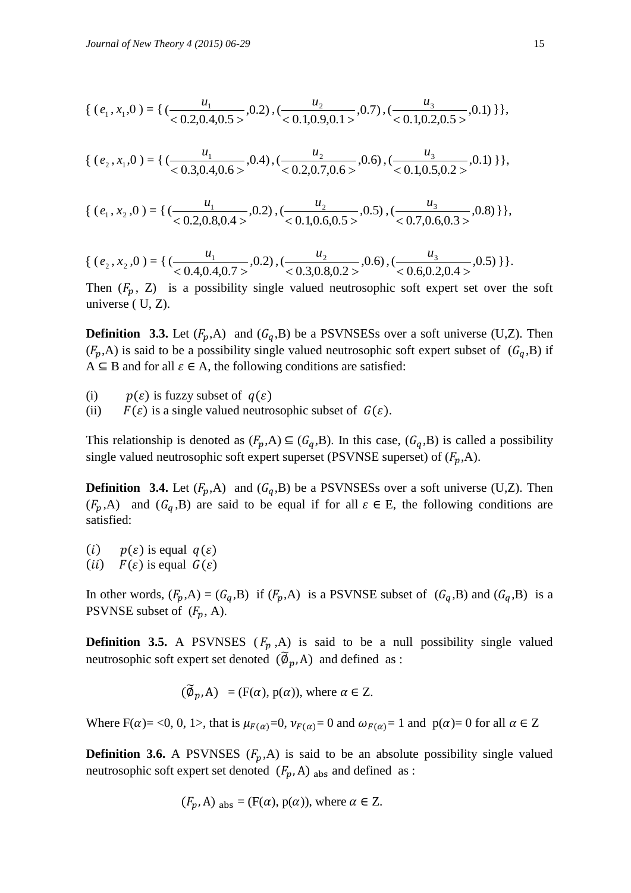$$
\{ (e_1, x_1, 0) = \{ (\frac{u_1}{0.2, 0.4, 0.5)}, 0.2), (\frac{u_2}{0.1, 0.9, 0.1}, 0.7), (\frac{u_3}{0.1, 0.2, 0.5}, 0.1) \} \},
$$

$$
\{ (e_2, x_1, 0) = \{ (\frac{u_1}{0.3, 0.4, 0.6}, 0.4), (\frac{u_2}{0.2, 0.7, 0.6}, 0.6), (\frac{u_3}{0.1, 0.5, 0.2}, 0.1) \} \},
$$

$$
\{ (e_1, x_2, 0) = \{ (\frac{u_1}{< 0.2, 0.8, 0.4>}, 0.2), (\frac{u_2}{< 0.1, 0.6, 0.5>}, 0.5), (\frac{u_3}{< 0.7, 0.6, 0.3>}, 0.8) \} \},
$$

$$
\{ (e_2, x_2, 0) = \{ (\frac{u_1}{<0.4, 0.4, 0.7>}, 0.2), (\frac{u_2}{<0.3, 0.8, 0.2>}, 0.6), (\frac{u_3}{<0.6, 0.2, 0.4>}, 0.5) \} \}.
$$

Then  $(F_p, Z)$  is a possibility single valued neutrosophic soft expert set over the soft universe ( U, Z).

**Definition 3.3.** Let  $(F_p, A)$  and  $(G_q, B)$  be a PSVNSESs over a soft universe (U,Z). Then  $(F_p,A)$  is said to be a possibility single valued neutrosophic soft expert subset of  $(G_q,B)$  if  $A \subseteq B$  and for all  $\varepsilon \in A$ , the following conditions are satisfied:

- (i)  $p(\varepsilon)$  is fuzzy subset of  $q(\varepsilon)$
- (ii)  $F(\varepsilon)$  is a single valued neutrosophic subset of  $G(\varepsilon)$ .

This relationship is denoted as  $(F_p, A) \subseteq (G_q, B)$ . In this case,  $(G_q, B)$  is called a possibility single valued neutrosophic soft expert superset (PSVNSE superset) of  $(F_p,A)$ .

**Definition 3.4.** Let  $(F_p, A)$  and  $(G_q, B)$  be a PSVNSESs over a soft universe (U,Z). Then  $(F_p,A)$  and  $(G_q,B)$  are said to be equal if for all  $\varepsilon \in E$ , the following conditions are satisfied:

(*i*)  $p(\varepsilon)$  is equal  $q(\varepsilon)$ (*ii*)  $F(\varepsilon)$  is equal  $G(\varepsilon)$ 

In other words,  $(F_p, A) = (G_q, B)$  if  $(F_p, A)$  is a PSVNSE subset of  $(G_q, B)$  and  $(G_q, B)$  is a PSVNSE subset of  $(F_p, A)$ .

**Definition 3.5.** A PSVNSES  $(F_p, A)$  is said to be a null possibility single valued neutrosophic soft expert set denoted  $(\widetilde{\varphi}_p, A)$  and defined as :

$$
(\widetilde{\emptyset}_p, A) = (F(\alpha), p(\alpha)),
$$
 where  $\alpha \in Z$ .

Where  $F(\alpha) = 0$ , 0, 1>, that is  $\mu_{F(\alpha)} = 0$ ,  $\nu_{F(\alpha)} = 0$  and  $\omega_{F(\alpha)} = 1$  and  $p(\alpha) = 0$  for all  $\alpha \in \mathbb{Z}$ 

**Definition 3.6.** A PSVNSES  $(F_p, A)$  is said to be an absolute possibility single valued neutrosophic soft expert set denoted  $(F_p, A)$  abs and defined as :

$$
(F_p, A)_{\text{abs}} = (F(\alpha), p(\alpha))
$$
, where  $\alpha \in Z$ .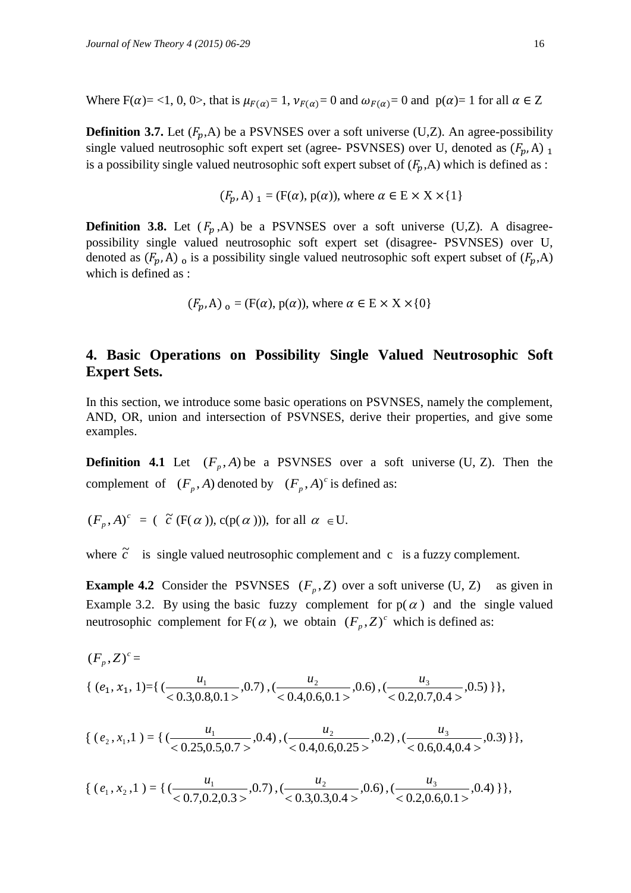Where  $F(\alpha) = \langle 1, 0, 0 \rangle$ , that is  $\mu_{F(\alpha)} = 1$ ,  $\nu_{F(\alpha)} = 0$  and  $\omega_{F(\alpha)} = 0$  and  $p(\alpha) = 1$  for all  $\alpha \in \mathbb{Z}$ 

**Definition 3.7.** Let  $(F_p, A)$  be a PSVNSES over a soft universe (U,Z). An agree-possibility single valued neutrosophic soft expert set (agree- PSVNSES) over U, denoted as  $(F_p, A)$  1 is a possibility single valued neutrosophic soft expert subset of  $(F_p,A)$  which is defined as :

$$
(F_p, A)_{1} = (F(\alpha), p(\alpha))
$$
, where  $\alpha \in E \times X \times \{1\}$ 

**Definition 3.8.** Let  $(F_n, A)$  be a PSVNSES over a soft universe (U,Z). A disagreepossibility single valued neutrosophic soft expert set (disagree- PSVNSES) over U, denoted as  $(F_p, A)$  is a possibility single valued neutrosophic soft expert subset of  $(F_p, A)$ which is defined as :

$$
(F_p, A)_{0} = (F(\alpha), p(\alpha))
$$
, where  $\alpha \in E \times X \times \{0\}$ 

## **4. Basic Operations on Possibility Single Valued Neutrosophic Soft Expert Sets.**

In this section, we introduce some basic operations on PSVNSES, namely the complement, AND, OR, union and intersection of PSVNSES, derive their properties, and give some examples.

**Definition 4.1** Let  $(F_p, A)$  be a PSVNSES over a soft universe (U, Z). Then the complement of  $(F_p, A)$  denoted by  $(F_p, A)^c$  is defined as:

$$
(F_p, A)^c = (\tilde{c} (F(\alpha)), c(p(\alpha))),
$$
 for all  $\alpha \in U$ .

where  $\tilde{c}$ is single valued neutrosophic complement and  $\mathbf c$  is a fuzzy complement.

**Example 4.2** Consider the PSVNSES  $(F_p, Z)$  over a soft universe (U, Z) as given in Example 3.2. By using the basic fuzzy complement for  $p(\alpha)$  and the single valued neutrosophic complement for  $F(\alpha)$ , we obtain  $(F_p, Z)^c$  which is defined as:

$$
(F_p, Z)^c =
$$
\n
$$
\{ (e_1, x_1, 1) = \{ (\frac{u_1}{< 0.3, 0.8, 0.1>}, 0.7), (\frac{u_2}{< 0.4, 0.6, 0.1>}, 0.6), (\frac{u_3}{< 0.2, 0.7, 0.4>}, 0.5) \},
$$

$$
\{ (e_2, x_1, 1) = \{ (\frac{u_1}{0.25, 0.5, 0.7}, 0.4), (\frac{u_2}{0.4, 0.6, 0.25}, 0.2), (\frac{u_3}{0.6, 0.4, 0.4}, 0.3) \},
$$

$$
\{ (e_1, x_2, 1) = \{ (\frac{u_1}{< 0.7, 0.2, 0.3>} , 0.7), (\frac{u_2}{< 0.3, 0.3, 0.4>} , 0.6), (\frac{u_3}{< 0.2, 0.6, 0.1>} , 0.4) \} \},
$$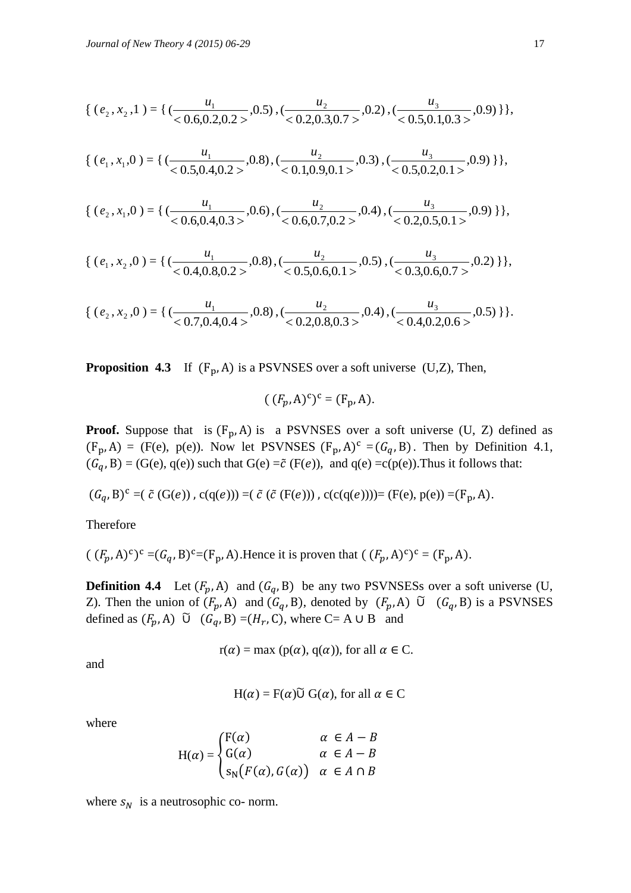$$
\{ (e_2, x_2, 1) = \{ (\frac{u_1}{< 0.6, 0.2, 0.2>} , 0.5), (\frac{u_2}{< 0.2, 0.3, 0.7>} , 0.2), (\frac{u_3}{< 0.5, 0.1, 0.3>} , 0.9) \} \},
$$

$$
\{ (e_1, x_1, 0) = \{ (\frac{u_1}{0.5, 0.4, 0.2 >}, 0.8), (\frac{u_2}{0.1, 0.9, 0.1 >}, 0.3), (\frac{u_3}{0.5, 0.2, 0.1 >}, 0.9) \} \},
$$

$$
\{ (e_2, x_1, 0) = \{ (\frac{u_1}{0.6, 0.4, 0.3)}, 0.6), (\frac{u_2}{0.6, 0.7, 0.2}, 0.4), (\frac{u_3}{0.2, 0.5, 0.1}, 0.9) \} \},
$$

$$
\{ (e_1, x_2, 0) = \{ (\frac{u_1}{< 0.4, 0.8, 0.2 >}, 0.8), (\frac{u_2}{< 0.5, 0.6, 0.1 >}, 0.5), (\frac{u_3}{< 0.3, 0.6, 0.7 >}, 0.2) \} \},
$$

$$
\{ (e_2, x_2, 0) = \{ (\frac{u_1}{0.7, 0.4, 0.4>}, 0.8), (\frac{u_2}{0.2, 0.8, 0.3>}, 0.4), (\frac{u_3}{0.4, 0.2, 0.6>}, 0.5) \} \}.
$$

**Proposition 4.3** If  $(F_p, A)$  is a PSVNSES over a soft universe  $(U, Z)$ , Then,

$$
((F_p, A)^c)^c = (F_p, A).
$$

**Proof.** Suppose that is  $(F_p, A)$  is a PSVNSES over a soft universe  $(U, Z)$  defined as  $(F_p, A) = (F(e), p(e))$ . Now let PSVNSES  $(F_p, A)^c = (G_q, B)$ . Then by Definition 4.1,  $(G_q, B) = (G(e), q(e))$  such that  $G(e) = \tilde{c}(F(e))$ , and  $q(e) = c(p(e))$ . Thus it follows that:

$$
(G_q, B)^c = (\tilde{c} (G(e)), c(q(e))) = (\tilde{c} (\tilde{c} (F(e))), c(c(q(e)))) = (F(e), p(e)) = (F_p, A).
$$

Therefore

$$
((F_p, A)^c)^c = (G_q, B)^c = (F_p, A).
$$
 Hence it is proven that 
$$
((F_p, A)^c)^c = (F_p, A).
$$

**Definition 4.4** Let  $(F_p, A)$  and  $(G_q, B)$  be any two PSVNSESs over a soft universe (U, Z). Then the union of  $(F_p, A)$  and  $(G_q, B)$ , denoted by  $(F_p, A)$   $\tilde{U}$   $(G_q, B)$  is a PSVNSES defined as  $(F_p, A)$   $\tilde{U}$   $(G_q, B) = (H_r, C)$ , where  $C = A \cup B$  and

$$
r(\alpha) = \max (p(\alpha), q(\alpha))
$$
, for all  $\alpha \in C$ .

and

$$
H(\alpha) = F(\alpha) \widetilde{U} G(\alpha)
$$
, for all  $\alpha \in C$ 

where

$$
H(\alpha) = \begin{cases} F(\alpha) & \alpha \in A - B \\ G(\alpha) & \alpha \in A - B \\ S_N(F(\alpha), G(\alpha)) & \alpha \in A \cap B \end{cases}
$$

where  $s_N$  is a neutrosophic co- norm.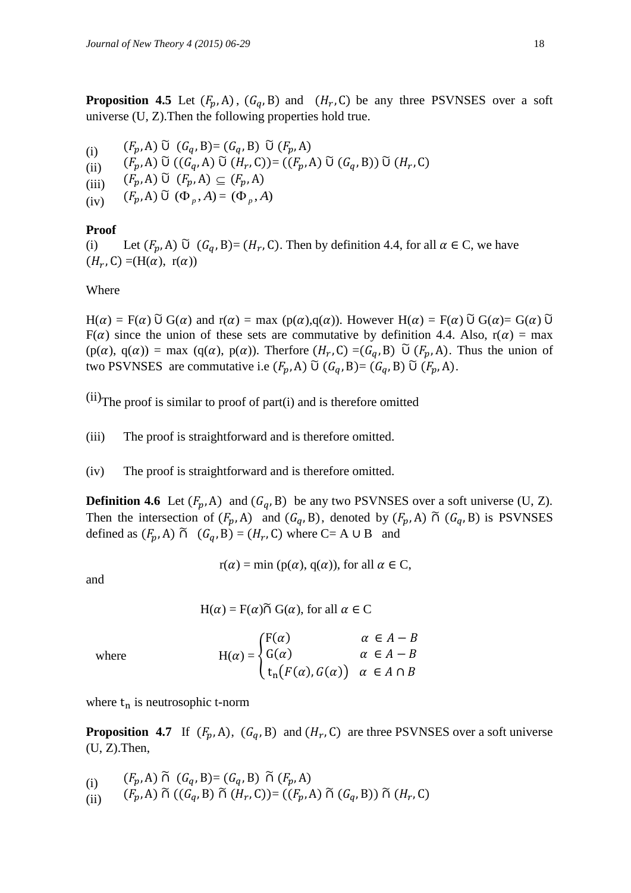**Proposition 4.5** Let  $(F_p, A)$ ,  $(G_q, B)$  and  $(H_r, C)$  be any three PSVNSES over a soft universe (U, Z).Then the following properties hold true.

(i)  $(F_p, A) \,\tilde{\cup}\, (G_q, B) = (G_q, B) \,\tilde{\cup}\, (G_q, B)$ (ii)  $(F_p, A)$   $\widetilde{\cup}$   $((G_q, A)$   $\widetilde{\cup}$   $(H_r, C)) = ((F_p, A)$   $\widetilde{\cup}$   $(G_q, B))$   $\widetilde{\cup}$   $(H_r, C)$ (iii)  $(F_p, A) \widetilde{\cup} (F_p, A) \subseteq$  $(iv)$   $(F_p, A)$   $\tilde{\upsilon}$   $(\Phi_p, A) = (\Phi_p, A)$ 

### **Proof**

(i) Let  $(F_p, A)$   $\widetilde{U}$   $(G_q, B) = (H_r, C)$ . Then by definition 4.4, for all  $\alpha \in C$ , we have  $(H_r, C) = (H(\alpha), r(\alpha))$ 

### Where

 $H(\alpha) = F(\alpha)$   $\tilde{U} G(\alpha)$  and  $r(\alpha) = \max (p(\alpha), q(\alpha))$ . However  $H(\alpha) = F(\alpha)$   $\tilde{U} G(\alpha) = G(\alpha)$   $\tilde{U}$  $F(\alpha)$  since the union of these sets are commutative by definition 4.4. Also,  $r(\alpha) = \max$  $(p(\alpha), q(\alpha)) = \max (q(\alpha), p(\alpha))$ . Therfore  $(H_r, C) = (G_q, B)$   $\widetilde{U}(F_p, A)$ . Thus the union of two PSVNSES are commutative i.e  $(F_p, A)$   $\tilde{\cup}$   $(G_q, B) = (G_q, B)$   $\tilde{\cup}$   $(F_p, A)$ .

 $(ii)$ The proof is similar to proof of part $(i)$  and is therefore omitted

(iii) The proof is straightforward and is therefore omitted.

(iv) The proof is straightforward and is therefore omitted.

**Definition 4.6** Let  $(F_p, A)$  and  $(G_q, B)$  be any two PSVNSES over a soft universe (U, Z). Then the intersection of  $(F_p, A)$  and  $(G_q, B)$ , denoted by  $(F_p, A)$   $\tilde{\cap}$   $(G_q, B)$  is PSVNSES defined as  $(F_p, A) \tilde{\cap} (G_q, B) = (H_r, C)$  where  $C = A \cup B$  and

 $r(\alpha) = min (p(\alpha), q(\alpha))$ , for all  $\alpha \in C$ ,

and

 $H(\alpha) = F(\alpha) \widetilde{\cap} G(\alpha)$ , for all  $\alpha \in \mathbb{C}$ 

where  
\n
$$
H(\alpha) = \begin{cases}\nF(\alpha) & \alpha \in A - B \\
G(\alpha) & \alpha \in A - B \\
t_n(F(\alpha), G(\alpha)) & \alpha \in A \cap B\n\end{cases}
$$

where  $t_n$  is neutrosophic t-norm

**Proposition 4.7** If  $(F_p, A)$ ,  $(G_q, B)$  and  $(H_r, C)$  are three PSVNSES over a soft universe (U, Z).Then,

(i) 
$$
(F_p, A) \widetilde{\cap} (G_q, B) = (G_q, B) \widetilde{\cap} (F_p, A)
$$

(ii)  $(F_p, A) \cap ((G_q, B) \cap (H_r, C)) = ((F_p, A) \cap (G_q, B)) \cap (H_r,$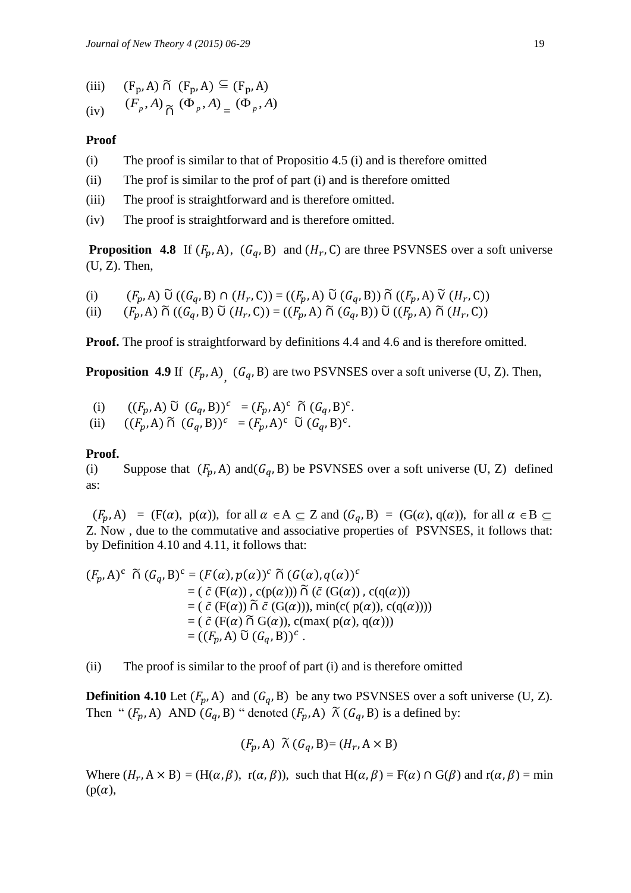- (iii)  $(F_p, A) \tilde{\cap} (F_p, A) \subseteq$
- $(iv)$  $(F_p, A)$ <sup> $\tilde{\Lambda}$ </sup> $(\Phi_p, A)$ <sup> $($ </sup> $\Phi_p, A)$ <sup> $($ </sup>

### **Proof**

- (i) The proof is similar to that of Propositio 4.5 (i) and is therefore omitted
- (ii) The prof is similar to the prof of part (i) and is therefore omitted
- (iii) The proof is straightforward and is therefore omitted.
- (iv) The proof is straightforward and is therefore omitted.

**Proposition 4.8** If  $(F_p, A)$ ,  $(G_q, B)$  and  $(H_r, C)$  are three PSVNSES over a soft universe  $(U, Z)$ . Then,

(i) 
$$
(F_p, A) \widetilde{\cup} ((G_q, B) \cap (H_r, C)) = ((F_p, A) \widetilde{\cup} (G_q, B)) \widetilde{\cap} ((F_p, A) \widetilde{\vee} (H_r, C))
$$

(ii)  $(F_p, A) \widetilde{\cap} ((G_q, B) \widetilde{\cup} (H_r, C)) = ((F_p, A) \widetilde{\cap} (G_q, B)) \widetilde{\cup} ((F_p, A) \widetilde{\cap} (H_r, C))$ 

**Proof.** The proof is straightforward by definitions 4.4 and 4.6 and is therefore omitted.

**Proposition 4.9** If  $(F_p, A)$ <sub>,</sub>  $(G_q, B)$  are two PSVNSES over a soft universe (U, Z). Then,

- (i)  $((F_p, A) \ \tilde{U} \ (G_q, B))^c = (F_p, A)^c \ \tilde{\cap} \ (G_q, B)^c.$
- (ii)  $((F_p, A) \widetilde{\cap} (G_q, B))^c = (F_p, A)^c \widetilde{\cup} (G_q, B)^c$ .

### **Proof.**

(i) Suppose that  $(F_p, A)$  and  $(G_q, B)$  be PSVNSES over a soft universe (U, Z) defined as:

 $(F_p, A) = (F(\alpha), p(\alpha))$ , for all  $\alpha \in A \subseteq Z$  and  $(G_q, B) = (G(\alpha), q(\alpha))$ , for all  $\alpha \in B \subseteq Z$ Z. Now , due to the commutative and associative properties of PSVNSES, it follows that: by Definition 4.10 and 4.11, it follows that:

$$
(F_p, A)^c \widetilde{\cap} (G_q, B)^c = (F(\alpha), p(\alpha))^c \widetilde{\cap} (G(\alpha), q(\alpha))^c
$$
  
\n
$$
= (\tilde{c} (F(\alpha)), c(p(\alpha))) \widetilde{\cap} (\tilde{c} (G(\alpha)), c(q(\alpha)))
$$
  
\n
$$
= (\tilde{c} (F(\alpha)) \widetilde{\cap} \tilde{c} (G(\alpha))), min(c(p(\alpha)), c(q(\alpha))))
$$
  
\n
$$
= (\tilde{c} (F(\alpha) \widetilde{\cap} G(\alpha)), c(max(p(\alpha), q(\alpha)))
$$
  
\n
$$
= ((F_p, A) \widetilde{U} (G_q, B))^c.
$$

(ii) The proof is similar to the proof of part (i) and is therefore omitted

**Definition 4.10** Let  $(F_p, A)$  and  $(G_q, B)$  be any two PSVNSES over a soft universe (U, Z). Then "  $(F_p, A)$  AND  $(G_q, B)$  " denoted  $(F_p, A)$   $\tilde{\wedge}$   $(G_q, B)$  is a defined by:

$$
(F_p, A) \widetilde{\wedge} (G_q, B) = (H_r, A \times B)
$$

Where  $(H_r, A \times B) = (H(\alpha, \beta), r(\alpha, \beta))$ , such that  $H(\alpha, \beta) = F(\alpha) \cap G(\beta)$  and  $r(\alpha, \beta) = min$  $(p(\alpha))$ ,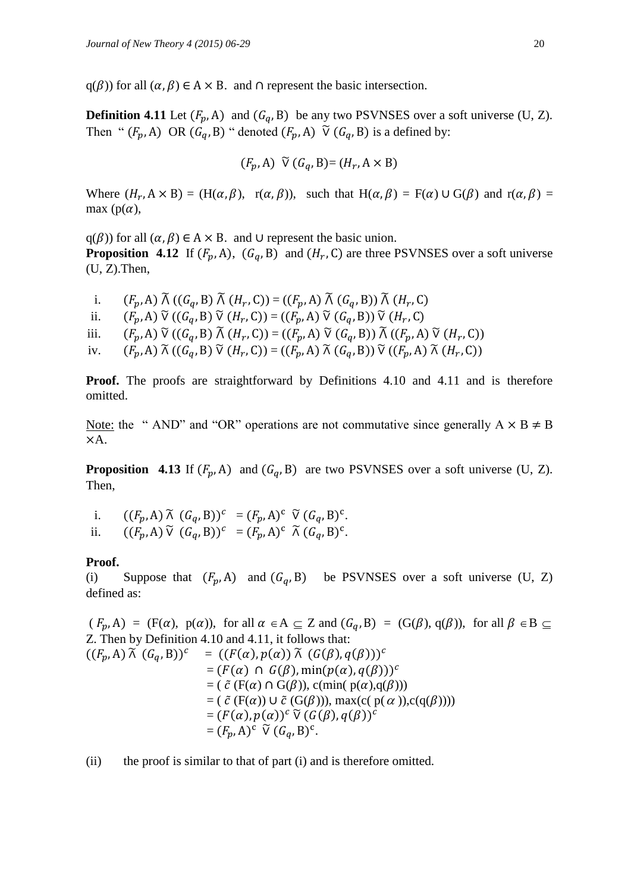$q(\beta)$  for all  $(\alpha, \beta) \in A \times B$ . and  $\cap$  represent the basic intersection.

**Definition 4.11** Let  $(F_p, A)$  and  $(G_q, B)$  be any two PSVNSES over a soft universe (U, Z). Then "  $(F_p, A)$  OR  $(G_q, B)$  " denoted  $(F_p, A)$   $\widetilde{V}$   $(G_q, B)$  is a defined by:

$$
(F_p, A) \widetilde{V} (G_q, B) = (H_r, A \times B)
$$

Where  $(H_r, A \times B) = (H(\alpha, \beta), r(\alpha, \beta))$ , such that  $H(\alpha, \beta) = F(\alpha) \cup G(\beta)$  and  $r(\alpha, \beta) =$ max  $(p(\alpha))$ ,

 $q(\beta)$  for all  $(\alpha, \beta) \in A \times B$ . and  $\cup$  represent the basic union. **Proposition 4.12** If  $(F_p, A)$ ,  $(G_q, B)$  and  $(H_r, C)$  are three PSVNSES over a soft universe (U, Z).Then,

i.  $(F_p, A) \widetilde{\Lambda} ((G_q, B) \widetilde{\Lambda} (H_r, C)) = ((F_p, A) \widetilde{\Lambda} (G_q, B)) \widetilde{\Lambda} (H_r,$ ii.  $(F_p, A) \widetilde{V}((G_q, B) \widetilde{V}(H_r, C)) = ((F_p, A) \widetilde{V}(G_q, B)) \widetilde{V}(H_r, A)$ iii.  $(F_p, A) \widetilde{V}((G_q, B) \widetilde{A}(H_r, C)) = ((F_p, A) \widetilde{V}(G_q, B)) \widetilde{A}((F_p, A) \widetilde{V}(H_r, C))$ iv.  $(F_p, A) \widetilde{\wedge} ((G_q, B) \widetilde{\vee} (H_r, C)) = ((F_p, A) \widetilde{\wedge} (G_q, B)) \widetilde{\vee} ((F_p, A) \widetilde{\wedge} (H_r, C))$ 

**Proof.** The proofs are straightforward by Definitions 4.10 and 4.11 and is therefore omitted.

Note: the " AND" and "OR" operations are not commutative since generally  $A \times B \neq B$ A.

**Proposition 4.13** If  $(F_p, A)$  and  $(G_q, B)$  are two PSVNSES over a soft universe (U, Z). Then,

i.  $((F_p, A) \tilde{\wedge} (G_q, B))^c = (F_p, A)^c \tilde{\vee} (G_q, B)^c$ . ii.  $((F_p, A) \widetilde{\vee} (G_q, B))^c = (F_p, A)^c \widetilde{\wedge} (G_q, B)^c$ .

#### **Proof.**

(i) Suppose that  $(F_p, A)$  and  $(G_q, B)$  be PSVNSES over a soft universe (U, Z) defined as:

 $(F_p, A) = (F(\alpha), p(\alpha)),$  for all  $\alpha \in A \subseteq Z$  and  $(G_q, B) = (G(\beta), q(\beta)),$  for all  $\beta \in B \subseteq Z$ Z. Then by Definition 4.10 and 4.11, it follows that:  $((F_p, A) \tilde{\wedge} (G_q, B))^c$  $= ((F(\alpha), p(\alpha)) \widetilde{\wedge} (G(\beta), q(\beta)))^c$  $=$   $=$  $=(F(\alpha) \cap G(\beta), \min(p(\alpha), q(\beta)))^c$  $=$  ( $\tilde{c}$  (F( $\alpha$ )  $\cap$  G( $\beta$ )), c(min(  $p(\alpha),q(\beta))$ )  $=$  (  $\tilde{c}$  (F( $\alpha$ ))  $\cup$   $\tilde{c}$  (G( $\beta$ ))), max(c(  $p(\alpha)$ ),c( $q(\beta)$ )))  $=$   $=$  $\mathfrak{c}$   $\widetilde{\mathsf{V}}$   $(G(\beta), q(\beta))^c$  $=(F_p, A)^c \widetilde{V}(G_q, B)^c$ .

(ii) the proof is similar to that of part (i) and is therefore omitted.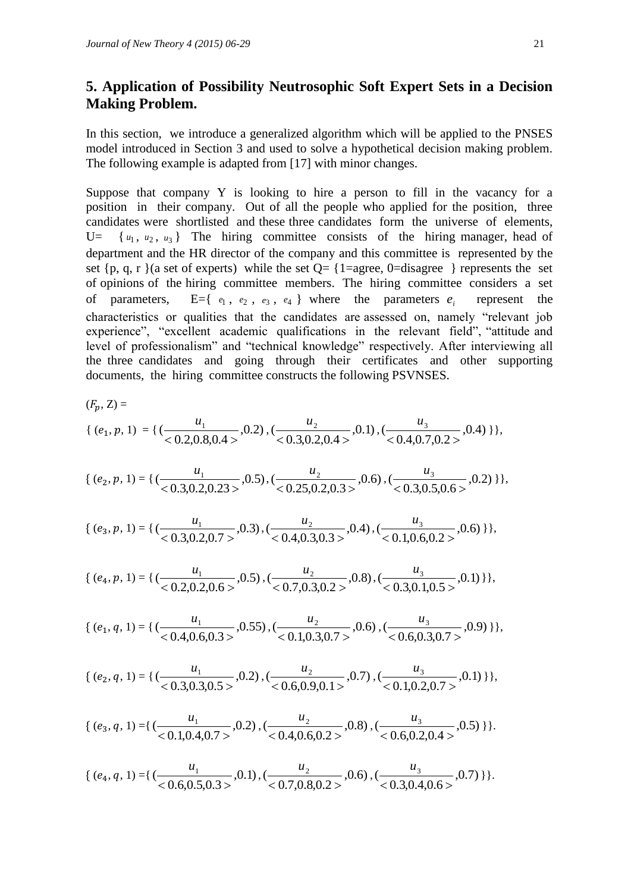## **5. Application of Possibility Neutrosophic Soft Expert Sets in a Decision Making Problem.**

In this section, we introduce a generalized algorithm which will be applied to the PNSES model introduced in Section 3 and used to solve a hypothetical decision making problem. The following example is adapted from [17] with minor changes.

Suppose that company Y is looking to hire a person to fill in the vacancy for a position in their company. Out of all the people who applied for the position, three candidates were shortlisted and these three candidates form the universe of elements,  $U=$  $u_1, u_2, u_3$  The hiring committee consists of the hiring manager, head of department and the HR director of the company and this committee is represented by the set  $\{p, q, r\}$  (a set of experts) while the set  $Q = \{1 = \text{agree}, 0 = \text{disagree}\}$  represents the set of opinions of the hiring committee members. The hiring committee considers a set of parameters,  $e_1$ ,  $e_2$ ,  $e_3$ ,  $e_4$  } where the parameters  $e_i$ represent the characteristics or qualities that the candidates are assessed on, namely "relevant job experience", "excellent academic qualifications in the relevant field", "attitude and level of professionalism" and "technical knowledge" respectively. After interviewing all the three candidates and going through their certificates and other supporting documents, the hiring committee constructs the following PSVNSES.

$$
(F_p, Z) =
$$
\n
$$
\{ (e_1, p, 1) = \{ (\frac{u_1}{0.2, 0.8, 0.4 >}, 0.2), (\frac{u_2}{0.3, 0.2, 0.4 >}, 0.1), (\frac{u_3}{0.4, 0.7, 0.2 >}, 0.4) \} \},
$$

$$
\{ (e_2, p, 1) = \{ (\frac{u_1}{< 0.3, 0.2, 0.23 >}, 0.5), (\frac{u_2}{< 0.25, 0.2, 0.3 >}, 0.6), (\frac{u_3}{< 0.3, 0.5, 0.6 >}, 0.2) \} \},
$$

$$
\{ (e_3, p, 1) = \{ (\frac{u_1}{\langle 0.3, 0.2, 0.7 \rangle}, 0.3), (\frac{u_2}{\langle 0.4, 0.3, 0.3 \rangle}, 0.4), (\frac{u_3}{\langle 0.1, 0.6, 0.2 \rangle}, 0.6) \} \},
$$

$$
\{ (e_4, p, 1) = \{ (\frac{u_1}{<0.2, 0.2, 0.6>}, 0.5), (\frac{u_2}{<0.7, 0.3, 0.2>}, 0.8), (\frac{u_3}{<0.3, 0.1, 0.5>}, 0.1) \} \},
$$

$$
\{ (e_1, q, 1) = \{ (\frac{u_1}{<0.4, 0.6, 0.3>}, 0.55), (\frac{u_2}{<0.1, 0.3, 0.7>}, 0.6), (\frac{u_3}{<0.6, 0.3, 0.7>}, 0.9) \} \},
$$

$$
\{ (e_2, q, 1) = \{ (\frac{u_1}{< 0.3, 0.3, 0.5>}, 0.2), (\frac{u_2}{< 0.6, 0.9, 0.1>}, 0.7), (\frac{u_3}{< 0.1, 0.2, 0.7>}, 0.1) \} \},
$$

$$
\{ (e_3, q, 1) = \{ (\frac{u_1}{<0.1, 0.4, 0.7>}, 0.2), (\frac{u_2}{<0.4, 0.6, 0.2>}, 0.8), (\frac{u_3}{<0.6, 0.2, 0.4>}, 0.5) \} \}.
$$

$$
\{ (e_4, q, 1) = \{ (\frac{u_1}{<0.6, 0.5, 0.3>}, 0.1), (\frac{u_2}{<0.7, 0.8, 0.2>}, 0.6), (\frac{u_3}{<0.3, 0.4, 0.6>}, 0.7) \} \}.
$$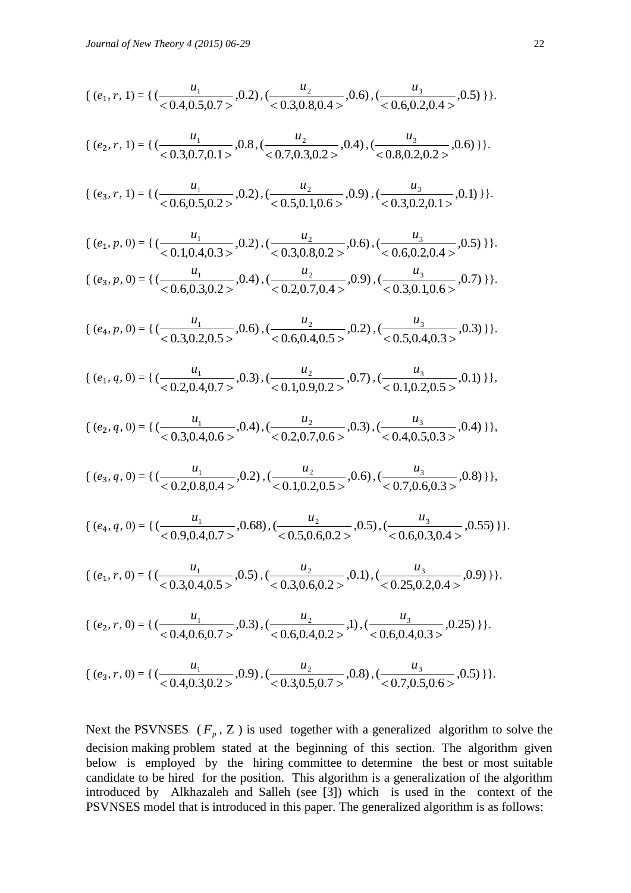$$
\{ (e_1, r, 1) = \{ (\frac{u_1}{<0.4, 0.5, 0.7>}, 0.2), (\frac{u_2}{<0.3, 0.8, 0.4>}, 0.6), (\frac{u_3}{<0.6, 0.2, 0.4>}, 0.5) \} \}.
$$

$$
\{ (e_2, r, 1) = \{ (\frac{u_1}{< 0.3, 0.7, 0.1>} , 0.8, (\frac{u_2}{< 0.7, 0.3, 0.2>} , 0.4), (\frac{u_3}{< 0.8, 0.2, 0.2>} , 0.6) \} \}.
$$

$$
\{ (e_3, r, 1) = \{ (\frac{u_1}{<0.6, 0.5, 0.2>}, 0.2), (\frac{u_2}{<0.5, 0.1, 0.6>}, 0.9), (\frac{u_3}{<0.3, 0.2, 0.1>}, 0.1) \} \}.
$$

$$
\{ (e_1, p, 0) = \{ (\frac{u_1}{<0.1, 0.4, 0.3>}, 0.2), (\frac{u_2}{<0.3, 0.8, 0.2>}, 0.6), (\frac{u_3}{<0.6, 0.2, 0.4>}, 0.5) \} \}.
$$
  

$$
\{ (e_3, p, 0) = \{ (\frac{u_1}{<0.6, 0.3, 0.2>}, 0.4), (\frac{u_2}{<0.2, 0.7, 0.4>}, 0.9), (\frac{u_3}{<0.3, 0.1, 0.6>}, 0.7) \} \}.
$$

$$
\{ (e_4, p, 0) = \{ (\frac{u_1}{<0.3, 0.2, 0.5>}, 0.6), (\frac{u_2}{<0.6, 0.4, 0.5>}, 0.2), (\frac{u_3}{<0.5, 0.4, 0.3>}, 0.3) \} \}.
$$

$$
\{ (e_1, q, 0) = \{ (\frac{u_1}{<0.2, 0.4, 0.7>}, 0.3), (\frac{u_2}{<0.1, 0.9, 0.2>}, 0.7), (\frac{u_3}{<0.1, 0.2, 0.5>}, 0.1) \} \},
$$

$$
\{ (e_2, q, 0) = \{ (\frac{u_1}{< 0.3, 0.4, 0.6}, 0.4), (\frac{u_2}{< 0.2, 0.7, 0.6}, 0.3), (\frac{u_3}{< 0.4, 0.5, 0.3}, 0.4) \} \},
$$

$$
\{ (e_3, q, 0) = \{ (\frac{u_1}{0.2, 0.8, 0.4 >}, 0.2), (\frac{u_2}{0.1, 0.2, 0.5 >}, 0.6), (\frac{u_3}{0.7, 0.6, 0.3 >}, 0.8) \}\},
$$

$$
\{ (e_4, q, 0) = \{ (\frac{u_1}{<0.9, 0.4, 0.7>}, 0.68), (\frac{u_2}{<0.5, 0.6, 0.2>} , 0.5), (\frac{u_3}{<0.6, 0.3, 0.4>} , 0.55) \} \}.
$$

$$
\{ (e_1, r, 0) = \{ (\frac{u_1}{<0.3, 0.4, 0.5>}, 0.5), (\frac{u_2}{<0.3, 0.6, 0.2>}, 0.1), (\frac{u_3}{<0.25, 0.2, 0.4>}, 0.9) \} \}.
$$

$$
\{ (e_2, r, 0) = \{ (\frac{u_1}{<0.4, 0.6, 0.7>} , 0.3), (\frac{u_2}{<0.6, 0.4, 0.2>} , 1), (\frac{u_3}{<0.6, 0.4, 0.3>} , 0.25) \} \}.
$$

$$
\{ (e_3, r, 0) = \{ (\frac{u_1}{<0.4, 0.3, 0.2>} , 0.9), (\frac{u_2}{<0.3, 0.5, 0.7>} , 0.8), (\frac{u_3}{<0.7, 0.5, 0.6>} , 0.5) \} \}.
$$

Next the PSVNSES  $(F_p, Z)$  is used together with a generalized algorithm to solve the decision making problem stated at the beginning of this section. The algorithm given below is employed by the hiring committee to determine the best or most suitable candidate to be hired for the position. This algorithm is a generalization of the algorithm introduced by Alkhazaleh and Salleh (see [3]) which is used in the context of the PSVNSES model that is introduced in this paper. The generalized algorithm is as follows: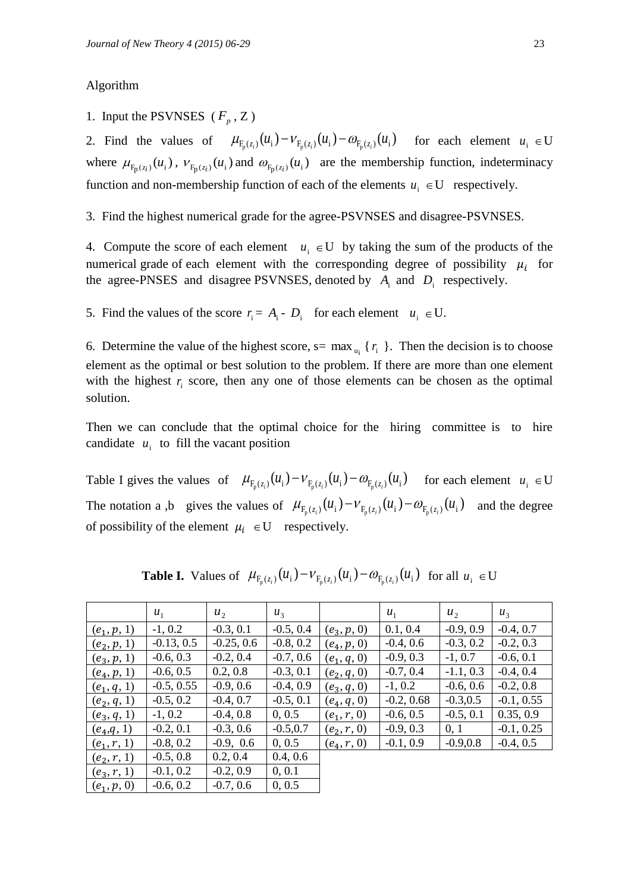### Algorithm

1. Input the PSVNSES  $(F_p, Z)$ 

2. Find the values of  $\mu_{F_p(z_i)}(u_i) - \nu_{F_p(z_i)}(u_i) - \omega_{F_p(z_i)}(u_i)$  for each element  $u_i \in U$ where  $\mu_{F_p(z_i)}(u_i)$ ,  $\nu_{F_p(z_i)}(u_i)$  and  $\omega_{F_p(z_i)}(u_i)$  are the membership function, indeterminacy function and non-membership function of each of the elements  $u_i \in U$  respectively.

3. Find the highest numerical grade for the agree-PSVNSES and disagree-PSVNSES.

4. Compute the score of each element  $u_i \in U$  by taking the sum of the products of the numerical grade of each element with the corresponding degree of possibility  $\mu_i$  for the agree-PNSES and disagree PSVNSES, denoted by  $A_i$  and  $D_i$  respectively.

5. Find the values of the score  $r_i = A_i - D_i$  for each element  $u_i \in U$ .

6. Determine the value of the highest score,  $s = \max_{u_i} \{r_i\}$ . Then the decision is to choose element as the optimal or best solution to the problem. If there are more than one element with the highest  $r_i$  score, then any one of those elements can be chosen as the optimal solution.

Then we can conclude that the optimal choice for the hiring committee is to hire candidate  $u_i$  to fill the vacant position

Table I gives the values of  $\mu_{F_p(z_i)}(u_i) - \nu_{F_p(z_i)}(u_i) - \omega_{F_p(z_i)}(u_i)$  for each element  $u_i \in U$ The notation a ,b gives the values of  $\mu_{F_p(z_i)}(u_i) - \nu_{F_p(z_i)}(u_i) - \omega_{F_p(z_i)}(u_i)$  and the degree of possibility of the element  $\mu_i \in U$  respectively.

|               | $u_1$        | $u_{2}$      | $u_{3}$     |               | $u_1$        | $u_2$       | $u_{3}$      |
|---------------|--------------|--------------|-------------|---------------|--------------|-------------|--------------|
| $(e_1, p, 1)$ | $-1, 0.2$    | $-0.3, 0.1$  | $-0.5, 0.4$ | $(e_3, p, 0)$ | 0.1, 0.4     | $-0.9, 0.9$ | $-0.4, 0.7$  |
| $(e_2, p, 1)$ | $-0.13, 0.5$ | $-0.25, 0.6$ | $-0.8, 0.2$ | $(e_4, p, 0)$ | $-0.4, 0.6$  | $-0.3, 0.2$ | $-0.2, 0.3$  |
| $(e_3, p, 1)$ | $-0.6, 0.3$  | $-0.2, 0.4$  | $-0.7, 0.6$ | $(e_1, q, 0)$ | $-0.9, 0.3$  | $-1, 0.7$   | $-0.6, 0.1$  |
| $(e_4, p, 1)$ | $-0.6, 0.5$  | 0.2, 0.8     | $-0.3, 0.1$ | $(e_2, q, 0)$ | $-0.7, 0.4$  | $-1.1, 0.3$ | $-0.4, 0.4$  |
| $(e_1, q, 1)$ | $-0.5, 0.55$ | $-0.9, 0.6$  | $-0.4, 0.9$ | $(e_3, q, 0)$ | $-1, 0.2$    | $-0.6, 0.6$ | $-0.2, 0.8$  |
| $(e_2, q, 1)$ | $-0.5, 0.2$  | $-0.4, 0.7$  | $-0.5, 0.1$ | $(e_4, q, 0)$ | $-0.2, 0.68$ | $-0.3, 0.5$ | $-0.1, 0.55$ |
| $(e_3, q, 1)$ | $-1, 0.2$    | $-0.4, 0.8$  | 0, 0.5      | $(e_1, r, 0)$ | $-0.6, 0.5$  | $-0.5, 0.1$ | 0.35, 0.9    |
| $(e_4, q, 1)$ | $-0.2, 0.1$  | $-0.3, 0.6$  | $-0.5, 0.7$ | $(e_2, r, 0)$ | $-0.9, 0.3$  | 0, 1        | $-0.1, 0.25$ |
| $(e_1, r, 1)$ | $-0.8, 0.2$  | $-0.9, 0.6$  | 0, 0.5      | $(e_4, r, 0)$ | $-0.1, 0.9$  | $-0.9, 0.8$ | $-0.4, 0.5$  |
| $(e_2, r, 1)$ | $-0.5, 0.8$  | 0.2, 0.4     | 0.4, 0.6    |               |              |             |              |
| $(e_3, r, 1)$ | $-0.1, 0.2$  | $-0.2, 0.9$  | 0, 0.1      |               |              |             |              |
| $(e_1, p, 0)$ | $-0.6, 0.2$  | $-0.7, 0.6$  | 0, 0.5      |               |              |             |              |

**Table I.** Values of  $\mu_{F_p(z_i)}(u_i) - \nu_{F_p(z_i)}(u_i) - \omega_{F_p(z_i)}(u_i)$  for all  $u_i \in U$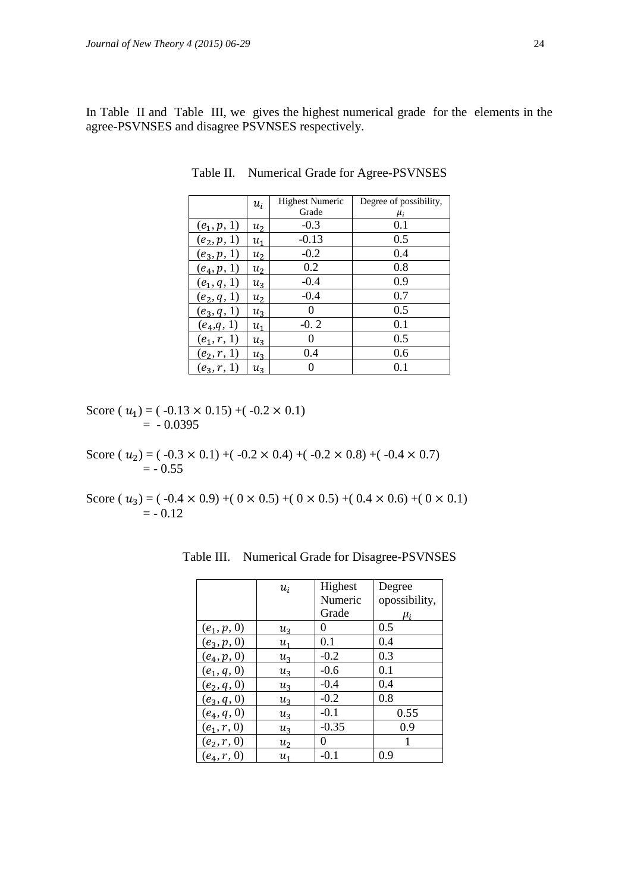In Table II and Table III, we gives the highest numerical grade for the elements in the agree-PSVNSES and disagree PSVNSES respectively.

|               | $u_i$   | <b>Highest Numeric</b> | Degree of possibility, |
|---------------|---------|------------------------|------------------------|
|               |         | Grade                  | $\mu_i$                |
| $(e_1, p, 1)$ | $u_{2}$ | $-0.3$                 | 0.1                    |
| $(e_2, p, 1)$ | $u_{1}$ | $-0.13$                | 0.5                    |
| $(e_3, p, 1)$ | $u_2$   | $-0.2$                 | 0.4                    |
| $(e_4, p, 1)$ | $u_{2}$ | 0.2                    | 0.8                    |
| $(e_1, q, 1)$ | $u_3$   | $-0.4$                 | 0.9                    |
| $(e_2, q, 1)$ | $u_{2}$ | $-0.4$                 | 0.7                    |
| $(e_3, q, 1)$ | $u_3$   | $\Omega$               | 0.5                    |
| $(e_4,q,1)$   | $u_{1}$ | $-0.2$                 | 0.1                    |
| $(e_1, r, 1)$ | $u_3$   | 0                      | 0.5                    |
| $(e_2, r, 1)$ | $u_3$   | 0.4                    | 0.6                    |
| $(e_3, r, 1)$ | $u_{3}$ |                        | 0.1                    |

Table II. Numerical Grade for Agree-PSVNSES

Score (  $u_1$ ) = ( -0.13  $\times$  0.15) +( -0.2  $\times$  0.1)  $= -0.0395$ 

Score (  $u_2$ ) = ( -0.3  $\times$  0.1) +( -0.2  $\times$  0.4) +( -0.2  $\times$  0.8) +( -0.4  $\times$  0.7)  $= -0.55$ 

Score (  $u_3$ ) = ( -0.4  $\times$  0.9) +( 0  $\times$  0.5) +( 0  $\times$  0.5) +( 0.4  $\times$  0.6) +( 0  $\times$  0.1)  $= -0.12$ 

|               | $u_i$          | Highest  | Degree        |
|---------------|----------------|----------|---------------|
|               |                | Numeric  | opossibility, |
|               |                | Grade    | $\mu_i$       |
| $(e_1, p, 0)$ | $u_3$          | $^{(1)}$ | 0.5           |
| $(e_3, p, 0)$ | $u_1$          | 0.1      | 0.4           |
| $(e_4, p, 0)$ | $u_{3}$        | $-0.2$   | 0.3           |
| $(e_1, q, 0)$ | $u_3$          | $-0.6$   | 0.1           |
| $(e_2, q, 0)$ | $u_{3}$        | $-0.4$   | 0.4           |
| $(e_3, q, 0)$ | $u_3$          | $-0.2$   | 0.8           |
| $(e_4, q, 0)$ | $u_3$          | $-0.1$   | 0.55          |
| $(e_1, r, 0)$ | $u_{3}$        | $-0.35$  | 0.9           |
| $(e_2, r, 0)$ | u <sub>2</sub> | 0        | 1             |
| $(e_4, r, 0)$ | $u_1$          | $-0.1$   | 0.9           |

Table III. Numerical Grade for Disagree-PSVNSES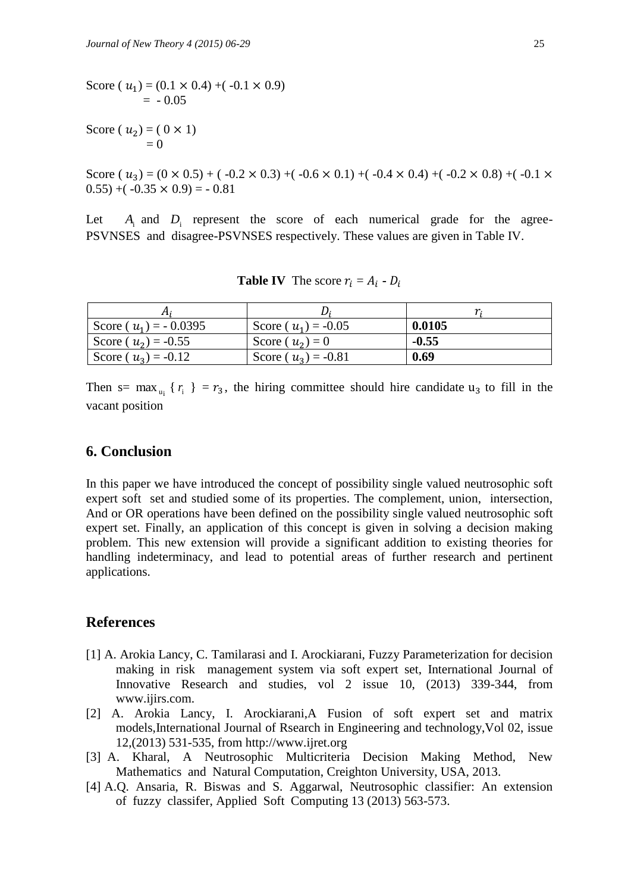Score (  $u_1$ ) = (0.1  $\times$  0.4) +( -0.1  $\times$  0.9)  $= -0.05$ 

Score (  $u_2$  ) = ( 0 × 1)  $= 0$ 

Score (  $u_3$ ) = (0 × 0.5) + ( -0.2 × 0.3) +( -0.6 × 0.1) +( -0.4 × 0.4) +( -0.2 × 0.8) +( -0.1 ×  $(0.55) + (-0.35 \times 0.9) = -0.81$ 

Let *A*i and *D*i represent the score of each numerical grade for the agree-PSVNSES and disagree-PSVNSES respectively. These values are given in Table IV.

| Score ( $u_1$ ) = -0.0395 | Score ( $u_1$ ) = -0.05 | 0.0105  |
|---------------------------|-------------------------|---------|
| Score ( $u_2$ ) = -0.55   | Score $(u_2)=0$         | $-0.55$ |
| Score ( $u_3$ ) = -0.12   | Score ( $u_3$ ) = -0.81 | 0.69    |

**Table IV** The score  $r_i = A_i - D$ 

Then s= max<sub>u<sub>i</sub></sub> { $r_i$ } =  $r_3$ , the hiring committee should hire candidate u<sub>3</sub> to fill in the vacant position

## **6. Conclusion**

In this paper we have introduced the concept of possibility single valued neutrosophic soft expert soft set and studied some of its properties. The complement, union, intersection, And or OR operations have been defined on the possibility single valued neutrosophic soft expert set. Finally, an application of this concept is given in solving a decision making problem. This new extension will provide a significant addition to existing theories for handling indeterminacy, and lead to potential areas of further research and pertinent applications.

## **References**

- [1] A. Arokia Lancy, C. Tamilarasi and I. Arockiarani, Fuzzy Parameterization for decision making in risk management system via soft expert set, International Journal of Innovative Research and studies, vol 2 issue 10, (2013) 339-344, from [www.ijirs.com.](http://www.ijirs.com/)
- [2] A. Arokia Lancy, I. Arockiarani,A Fusion of soft expert set and matrix models,International Journal of Rsearch in Engineering and technology,Vol 02, issue 12,(2013) 531-535, from http://www.ijret.org
- [3] A. Kharal, A Neutrosophic Multicriteria Decision Making Method, New Mathematics and Natural Computation, Creighton University, USA, 2013.
- [4] A.Q. Ansaria, R. Biswas and S. Aggarwal, Neutrosophic classifier: An extension of fuzzy classifer, Applied Soft Computing 13 (2013) 563-573.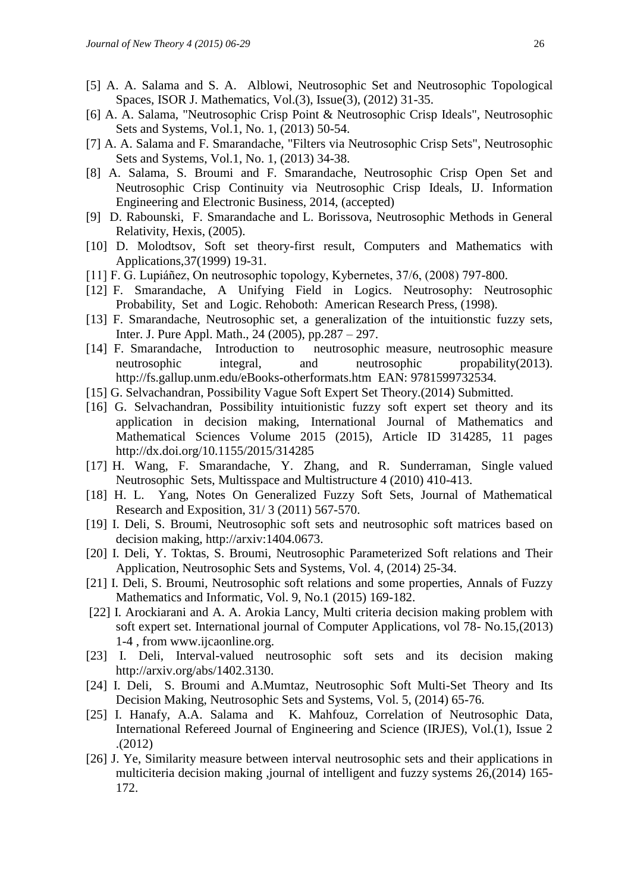- [5] A. A. Salama and S. A. Alblowi, Neutrosophic Set and Neutrosophic Topological Spaces, ISOR J. Mathematics, Vol.(3), Issue(3), (2012) 31-35.
- [6] A. A. Salama, "Neutrosophic Crisp Point & Neutrosophic Crisp Ideals", Neutrosophic Sets and Systems, Vol.1, No. 1, (2013) 50-54.
- [7] A. A. Salama and F. Smarandache, "Filters via Neutrosophic Crisp Sets", Neutrosophic Sets and Systems, Vol.1, No. 1, (2013) 34-38.
- [8] A. Salama, S. Broumi and F. Smarandache, Neutrosophic Crisp Open Set and Neutrosophic Crisp Continuity via Neutrosophic Crisp Ideals, IJ. Information Engineering and Electronic Business, 2014, (accepted)
- [9] D. Rabounski, F. Smarandache and L. Borissova, Neutrosophic Methods in General Relativity, Hexis, (2005).
- [10] D. Molodtsov, Soft set theory-first result, Computers and Mathematics with Applications,37(1999) 19-31.
- [11] F. G. Lupiáñez, On neutrosophic topology, Kybernetes, 37/6, (2008) 797-800.
- [12] F. Smarandache, A Unifying Field in Logics. Neutrosophy: Neutrosophic Probability, Set and Logic. Rehoboth: American Research Press, (1998).
- [13] F. Smarandache, Neutrosophic set, a generalization of the intuitionstic fuzzy sets, Inter. J. Pure Appl. Math., 24 (2005), pp.287 – 297.
- [14] F. Smarandache, Introduction to neutrosophic measure, neutrosophic measure neutrosophic integral, and neutrosophic propability(2013). <http://fs.gallup.unm.edu/eBooks-otherformats.htm>EAN: 9781599732534.
- [15] G. Selvachandran, Possibility Vague Soft Expert Set Theory.(2014) Submitted.
- [16] G. Selvachandran, Possibility intuitionistic fuzzy soft expert set theory and its application in decision making, International Journal of Mathematics and Mathematical Sciences Volume 2015 (2015), Article ID 314285, 11 pages http://dx.doi.org/10.1155/2015/314285
- [17] H. Wang, F. Smarandache, Y. Zhang, and R. Sunderraman, Single valued Neutrosophic Sets, Multisspace and Multistructure 4 (2010) 410-413.
- [18] H. L. Yang, Notes On Generalized Fuzzy Soft Sets, Journal of Mathematical Research and Exposition, 31/ 3 (2011) 567-570.
- [19] I. Deli, S. Broumi, Neutrosophic soft sets and neutrosophic soft matrices based on decision making, http://arxiv:1404.0673.
- [20] I. Deli, Y. Toktas, S. Broumi, Neutrosophic Parameterized Soft relations and Their Application, Neutrosophic Sets and Systems, Vol. 4, (2014) 25-34.
- [21] I. Deli, S. Broumi, Neutrosophic soft relations and some properties, Annals of Fuzzy Mathematics and Informatic, Vol. 9, No.1 (2015) 169-182.
- [22] I. Arockiarani and A. A. Arokia Lancy, Multi criteria decision making problem with soft expert set. International journal of Computer Applications, vol 78- No.15,(2013) 1-4 , from www.ijcaonline.org.
- [23] I. Deli, Interval-valued neutrosophic soft sets and its decision making [http://arxiv.org/abs/1402.3130.](http://arxiv.org/abs/1402.3130)
- [24] I. Deli, S. Broumi and A.Mumtaz, Neutrosophic Soft Multi-Set Theory and Its Decision Making, Neutrosophic Sets and Systems, Vol. 5, (2014) 65-76.
- [25] I. Hanafy, A.A. Salama and K. Mahfouz, Correlation of Neutrosophic Data, International Refereed Journal of Engineering and Science (IRJES), Vol.(1), Issue 2 .(2012)
- [26] J. Ye, Similarity measure between interval neutrosophic sets and their applications in multiciteria decision making ,journal of intelligent and fuzzy systems 26,(2014) 165- 172.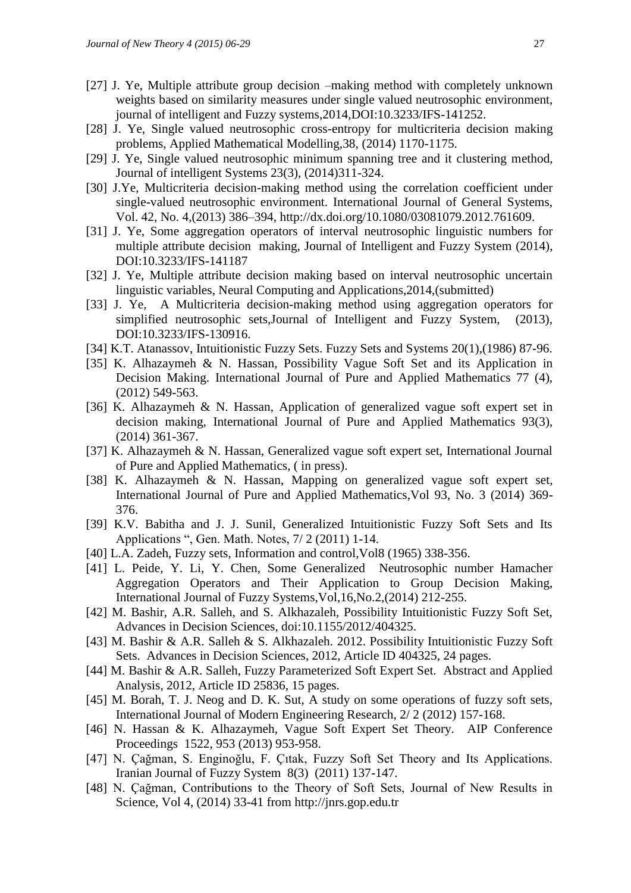- [27] J. Ye, Multiple attribute group decision –making method with completely unknown weights based on similarity measures under single valued neutrosophic environment, journal of intelligent and Fuzzy systems,2014,DOI:10.3233/IFS-141252.
- [28] J. Ye, Single valued neutrosophic cross-entropy for multicriteria decision making problems, Applied Mathematical Modelling,38, (2014) 1170-1175.
- [29] J. Ye, Single valued neutrosophic minimum spanning tree and it clustering method, Journal of intelligent Systems 23(3), (2014)311-324.
- [30] J.Ye, Multicriteria decision-making method using the correlation coefficient under single-valued neutrosophic environment. International Journal of General Systems, Vol. 42, No. 4,(2013) 386–394, [http://dx.doi.org/10.1080/03081079.2012.761609.](http://dx.doi.org/10.1080/03081079.2012.761609)
- [31] J. Ye, Some aggregation operators of interval neutrosophic linguistic numbers for multiple attribute decision making, Journal of Intelligent and Fuzzy System (2014), DOI:10.3233/IFS-141187
- [32] J. Ye, Multiple attribute decision making based on interval neutrosophic uncertain linguistic variables, Neural Computing and Applications,2014,(submitted)
- [33] J. Ye, A Multicriteria decision-making method using aggregation operators for simplified neutrosophic sets,Journal of Intelligent and Fuzzy System, (2013), DOI:10.3233/IFS-130916.
- [34] K.T. Atanassov, Intuitionistic Fuzzy Sets. Fuzzy Sets and Systems 20(1),(1986) 87-96.
- [35] K. Alhazaymeh & N. Hassan, Possibility Vague Soft Set and its Application in Decision Making. International Journal of Pure and Applied Mathematics 77 (4), (2012) 549-563.
- [36] K. Alhazaymeh & N. Hassan, Application of generalized vague soft expert set in decision making, International Journal of Pure and Applied Mathematics 93(3), (2014) 361-367.
- [37] K. Alhazaymeh & N. Hassan, Generalized vague soft expert set, International Journal of Pure and Applied Mathematics, ( in press).
- [38] K. Alhazaymeh & N. Hassan, Mapping on generalized vague soft expert set, International Journal of Pure and Applied Mathematics,Vol 93, No. 3 (2014) 369- 376.
- [39] K.V. Babitha and J. J. Sunil, Generalized Intuitionistic Fuzzy Soft Sets and Its Applications ", Gen. Math. Notes, 7/ 2 (2011) 1-14.
- [40] L.A. Zadeh, Fuzzy sets, Information and control, Vol8 (1965) 338-356.
- [41] L. Peide, Y. Li, Y. Chen, Some Generalized Neutrosophic number Hamacher Aggregation Operators and Their Application to Group Decision Making, International Journal of Fuzzy Systems,Vol,16,No.2,(2014) 212-255.
- [42] M. Bashir, A.R. Salleh, and S. Alkhazaleh, Possibility Intuitionistic Fuzzy Soft Set, Advances in Decision Sciences, doi:10.1155/2012/404325.
- [43] M. Bashir & A.R. Salleh & S. Alkhazaleh. 2012. Possibility Intuitionistic Fuzzy Soft Sets. Advances in Decision Sciences, 2012, Article ID 404325, 24 pages.
- [44] M. Bashir & A.R. Salleh, Fuzzy Parameterized Soft Expert Set. Abstract and Applied Analysis, 2012, Article ID 25836, 15 pages.
- [45] M. Borah, T. J. Neog and D. K. Sut, A study on some operations of fuzzy soft sets, International Journal of Modern Engineering Research, 2/ 2 (2012) 157-168.
- [46] N. Hassan & K. Alhazaymeh, Vague Soft Expert Set Theory. AIP Conference Proceedings 1522, 953 (2013) 953-958.
- [47] N. Çağman, S. Enginoğlu, F. Çıtak, Fuzzy Soft Set Theory and Its Applications. Iranian Journal of Fuzzy System 8(3) (2011) 137-147.
- [48] N. Çağman, Contributions to the Theory of Soft Sets, Journal of New Results in Science, Vol 4, (2014) 33-41 from http://jnrs.gop.edu.tr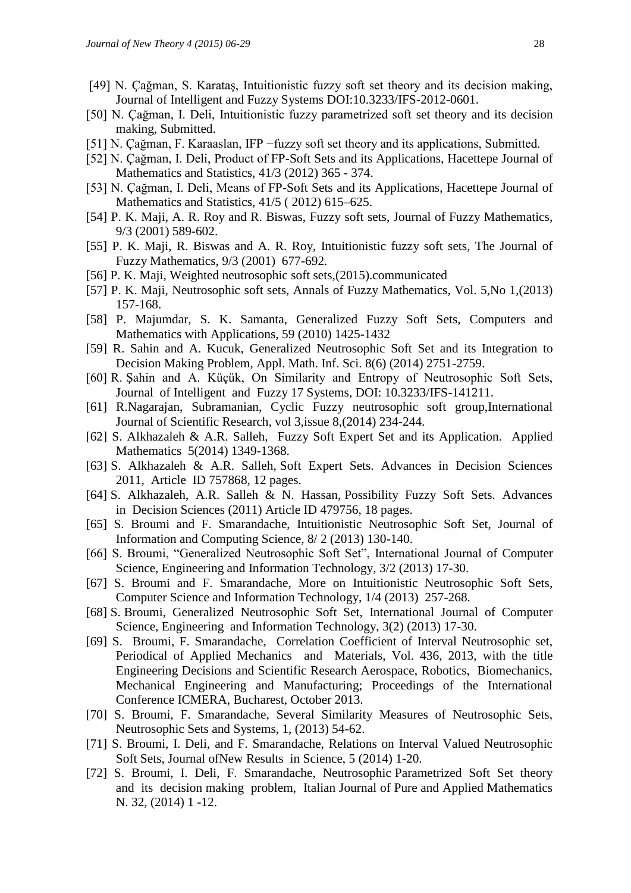- [49] N. Çağman, S. Karataş, Intuitionistic fuzzy soft set theory and its decision making, Journal of Intelligent and Fuzzy Systems DOI:10.3233/IFS-2012-0601.
- [50] N. Çağman, I. Deli, Intuitionistic fuzzy parametrized soft set theory and its decision making, Submitted.
- [51] N. Çağman, F. Karaaslan, IFP −fuzzy soft set theory and its applications, Submitted.
- [52] N. Çağman, I. Deli, Product of FP-Soft Sets and its Applications, Hacettepe Journal of Mathematics and Statistics, 41/3 (2012) 365 - 374.
- [53] N. Çağman, I. Deli, Means of FP-Soft Sets and its Applications, Hacettepe Journal of Mathematics and Statistics, 41/5 ( 2012) 615–625.
- [54] P. K. Maji, A. R. Roy and R. Biswas, Fuzzy soft sets, Journal of Fuzzy Mathematics, 9/3 (2001) 589-602.
- [55] P. K. Maji, R. Biswas and A. R. Roy, Intuitionistic fuzzy soft sets, The Journal of Fuzzy Mathematics, 9/3 (2001) 677-692.
- [56] P. K. Maji, Weighted neutrosophic soft sets,(2015).communicated
- [57] P. K. Maji, Neutrosophic soft sets, Annals of Fuzzy Mathematics, Vol. 5,No 1,(2013) 157-168.
- [58] P. Majumdar, S. K. Samanta, Generalized Fuzzy Soft Sets, Computers and Mathematics with Applications, 59 (2010) 1425-1432
- [59] R. Sahin and A. Kucuk, Generalized Neutrosophic Soft Set and its Integration to Decision Making Problem, Appl. Math. Inf. Sci. 8(6) (2014) 2751-2759.
- [60] R. Şahin and A. Küçük, On Similarity and Entropy of Neutrosophic Soft Sets, Journal of Intelligent and Fuzzy 17 Systems, DOI: 10.3233/IFS-141211.
- [61] R.Nagarajan, Subramanian, Cyclic Fuzzy neutrosophic soft group,International Journal of Scientific Research, vol 3,issue 8,(2014) 234-244.
- [62] S. Alkhazaleh & A.R. Salleh, Fuzzy Soft Expert Set and its Application. Applied Mathematics 5(2014) 1349-1368.
- [63] S. Alkhazaleh & A.R. Salleh, Soft Expert Sets. Advances in Decision Sciences 2011, Article ID 757868, 12 pages.
- [64] S. Alkhazaleh, A.R. Salleh & N. Hassan, Possibility Fuzzy Soft Sets. Advances in Decision Sciences (2011) Article ID 479756, 18 pages.
- [65] S. Broumi and F. Smarandache, Intuitionistic Neutrosophic Soft Set, Journal of Information and Computing Science, 8/ 2 (2013) 130-140.
- [66] S. Broumi, "Generalized Neutrosophic Soft Set", International Journal of Computer Science, Engineering and Information Technology, 3/2 (2013) 17-30.
- [67] S. Broumi and F. Smarandache, More on Intuitionistic Neutrosophic Soft Sets, Computer Science and Information Technology, 1/4 (2013) 257-268.
- [68] S. Broumi, Generalized Neutrosophic Soft Set, International Journal of Computer Science, Engineering and Information Technology, 3(2) (2013) 17-30.
- [69] S. Broumi, F. Smarandache, Correlation Coefficient of Interval Neutrosophic set, Periodical of Applied Mechanics and Materials, Vol. 436, 2013, with the title Engineering Decisions and Scientific Research Aerospace, Robotics, Biomechanics, Mechanical Engineering and Manufacturing; Proceedings of the International Conference ICMERA, Bucharest, October 2013.
- [70] S. Broumi, F. Smarandache, Several Similarity Measures of Neutrosophic Sets, Neutrosophic Sets and Systems, 1, (2013) 54-62.
- [71] S. Broumi, I. Deli, and F. Smarandache, Relations on Interval Valued Neutrosophic Soft Sets, Journal ofNew Results in Science, 5 (2014) 1-20.
- [72] S. Broumi, I. Deli, F. Smarandache, Neutrosophic Parametrized Soft Set theory and its decision making problem, Italian Journal of Pure and Applied Mathematics N. 32, (2014) 1 -12.